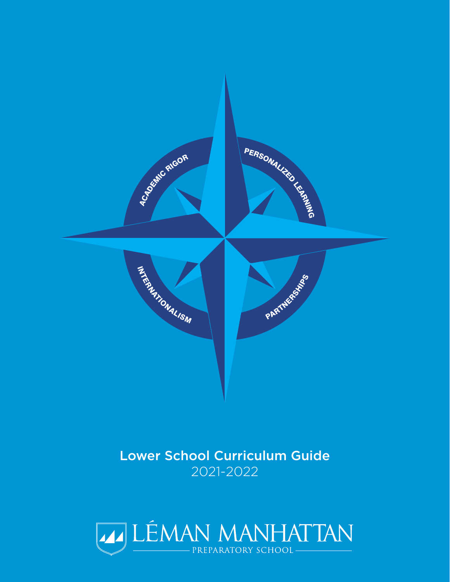

### Lower School Curriculum Guide 2021-2022

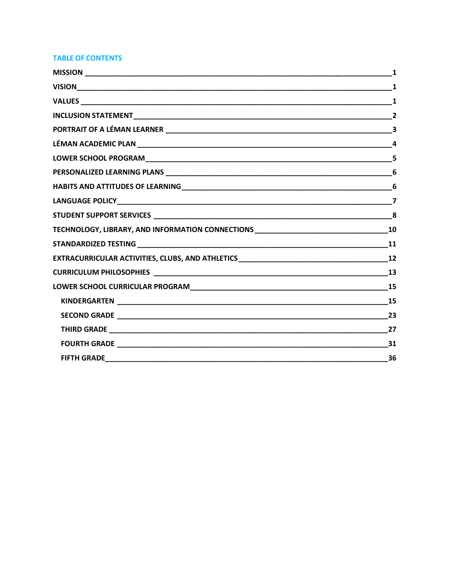#### **TABLE OF CONTENTS**

|                                                                                     | 1                                              |
|-------------------------------------------------------------------------------------|------------------------------------------------|
|                                                                                     |                                                |
|                                                                                     | $\mathbf{1}$                                   |
|                                                                                     |                                                |
|                                                                                     |                                                |
|                                                                                     |                                                |
|                                                                                     | 5                                              |
|                                                                                     | 6                                              |
|                                                                                     | $6\phantom{1}6$                                |
|                                                                                     |                                                |
|                                                                                     |                                                |
| TECHNOLOGY, LIBRARY, AND INFORMATION CONNECTIONS ________________________________10 |                                                |
|                                                                                     |                                                |
|                                                                                     |                                                |
|                                                                                     | 13                                             |
|                                                                                     |                                                |
|                                                                                     |                                                |
|                                                                                     | -23<br><u> 1989 - Johann Barbara, martin a</u> |
|                                                                                     |                                                |
|                                                                                     | 31                                             |
| <b>FIFTH GRADE</b>                                                                  | 36                                             |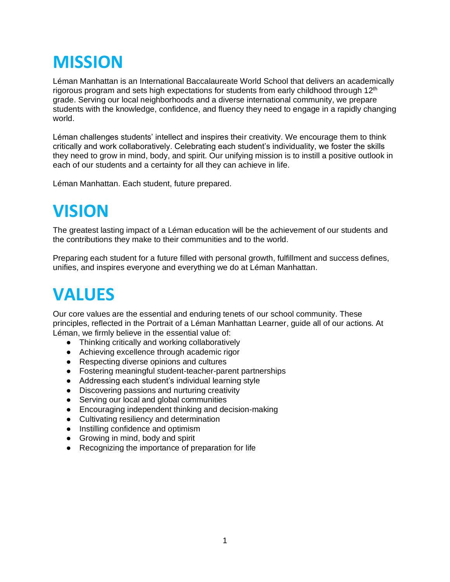## <span id="page-2-0"></span>**MISSION**

Léman Manhattan is an International Baccalaureate World School that delivers an academically rigorous program and sets high expectations for students from early childhood through  $12<sup>th</sup>$ grade. Serving our local neighborhoods and a diverse international community, we prepare students with the knowledge, confidence, and fluency they need to engage in a rapidly changing world.

Léman challenges students' intellect and inspires their creativity. We encourage them to think critically and work collaboratively. Celebrating each student's individuality, we foster the skills they need to grow in mind, body, and spirit. Our unifying mission is to instill a positive outlook in each of our students and a certainty for all they can achieve in life.

Léman Manhattan. Each student, future prepared.

### <span id="page-2-1"></span>**VISION**

The greatest lasting impact of a Léman education will be the achievement of our students and the contributions they make to their communities and to the world.

Preparing each student for a future filled with personal growth, fulfillment and success defines, unifies, and inspires everyone and everything we do at Léman Manhattan.

## <span id="page-2-2"></span>**VALUES**

Our core values are the essential and enduring tenets of our school community. These principles, reflected in the [Portrait of a Léman Manhattan Learner,](http://www.lemanmanhattan.org/pdf/portrait-of-a-leman-learner.pdf) guide all of our actions*.* At Léman, we firmly believe in the essential value of:

- Thinking critically and working collaboratively
- Achieving excellence through academic rigor
- Respecting diverse opinions and cultures
- Fostering meaningful student-teacher-parent partnerships
- Addressing each student's individual learning style
- Discovering passions and nurturing creativity
- Serving our local and global communities
- Encouraging independent thinking and decision-making
- Cultivating resiliency and determination
- Instilling confidence and optimism
- Growing in mind, body and spirit
- Recognizing the importance of preparation for life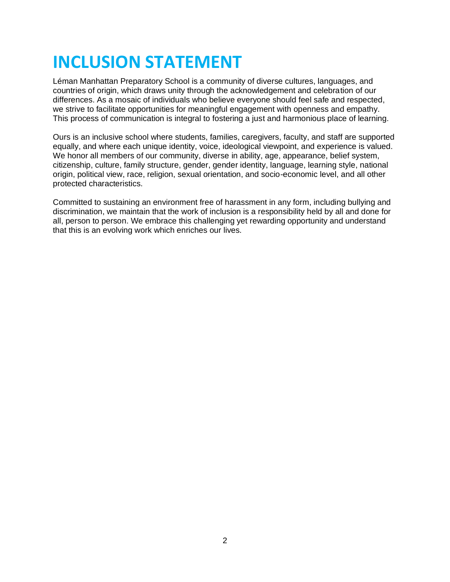## <span id="page-3-0"></span>**INCLUSION STATEMENT**

Léman Manhattan Preparatory School is a community of diverse cultures, languages, and countries of origin, which draws unity through the acknowledgement and celebration of our differences. As a mosaic of individuals who believe everyone should feel safe and respected, we strive to facilitate opportunities for meaningful engagement with openness and empathy. This process of communication is integral to fostering a just and harmonious place of learning.

Ours is an inclusive school where students, families, caregivers, faculty, and staff are supported equally, and where each unique identity, voice, ideological viewpoint, and experience is valued. We honor all members of our community, diverse in ability, age, appearance, belief system, citizenship, culture, family structure, gender, gender identity, language, learning style, national origin, political view, race, religion, sexual orientation, and socio-economic level, and all other protected characteristics.

Committed to sustaining an environment free of harassment in any form, including bullying and discrimination, we maintain that the work of inclusion is a responsibility held by all and done for all, person to person. We embrace this challenging yet rewarding opportunity and understand that this is an evolving work which enriches our lives.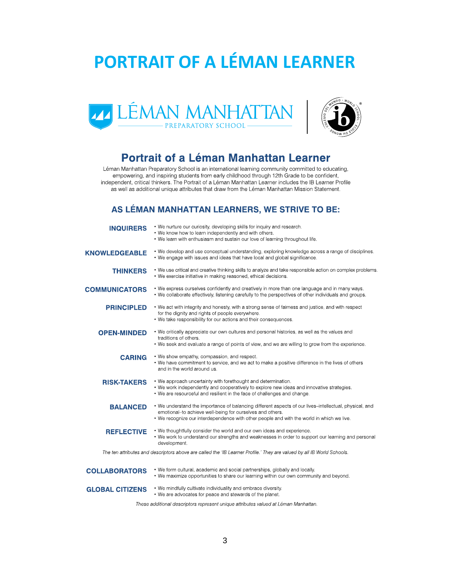## <span id="page-4-0"></span>**PORTRAIT OF A LÉMAN LEARNER**





### Portrait of a Léman Manhattan Learner

Léman Manhattan Preparatory School is an international learning community committed to educating, empowering, and inspiring students from early childhood through 12th Grade to be confident, independent, critical thinkers. The Portrait of a Léman Manhattan Learner includes the IB Learner Profile as well as additional unique attributes that draw from the Léman Manhattan Mission Statement.

#### AS LÉMAN MANHATTAN LEARNERS, WE STRIVE TO BE:

| <b>INQUIRERS</b>     | • We nurture our curiosity, developing skills for inquiry and research.<br>. We know how to learn independently and with others.<br>. We learn with enthusiasm and sustain our love of learning throughout life.                                                 |
|----------------------|------------------------------------------------------------------------------------------------------------------------------------------------------------------------------------------------------------------------------------------------------------------|
| <b>KNOWLEDGEABLE</b> | . We develop and use conceptual understanding, exploring knowledge across a range of disciplines.<br>. We engage with issues and ideas that have local and global significance.                                                                                  |
| <b>THINKERS</b>      | . We use critical and creative thinking skills to analyze and take responsible action on complex problems.<br>• We exercise initiative in making reasoned, ethical decisions.                                                                                    |
| <b>COMMUNICATORS</b> | . We express ourselves confidently and creatively in more than one language and in many ways.<br>. We collaborate effectively, listening carefully to the perspectives of other individuals and groups.                                                          |
| <b>PRINCIPLED</b>    | • We act with integrity and honesty, with a strong sense of fairness and justice, and with respect<br>for the dignity and rights of people everywhere.<br>. We take responsibility for our actions and their consequences.                                       |
| <b>OPEN-MINDED</b>   | . We critically appreciate our own cultures and personal histories, as well as the values and<br>traditions of others.<br>. We seek and evaluate a range of points of view, and we are willing to grow from the experience.                                      |
| <b>CARING</b>        | • We show empathy, compassion, and respect.<br>. We have commitment to service, and we act to make a positive difference in the lives of others<br>and in the world around us.                                                                                   |
| <b>RISK-TAKERS</b>   | • We approach uncertainty with forethought and determination.<br>. We work independently and cooperatively to explore new ideas and innovative strategies.<br>• We are resourceful and resilient in the face of challenges and change.                           |
| <b>BALANCED</b>      | . We understand the importance of balancing different aspects of our lives-intellectual, physical, and<br>emotional to achieve well being for ourselves and others.<br>. We recognize our interdependence with other people and with the world in which we live. |
| <b>REFLECTIVE</b>    | . We thoughtfully consider the world and our own ideas and experience.<br>. We work to understand our strengths and weaknesses in order to support our learning and personal<br>development.                                                                     |
|                      | The ten attributes and descriptors above are called the 'IB Learner Profile.' They are valued by all IB World Schools.                                                                                                                                           |
| <b>COLLABORATORS</b> | . We form cultural, academic and social partnerships, globally and locally.<br>. We maximize opportunities to share our learning within our own community and beyond.                                                                                            |

GLOBAL CITIZENS . We mindfully cultivate individuality and embrace diversity.<br>We are advocates for peace and stewards of the planet.

These additional descriptors represent unique attributes valued at Léman Manhattan.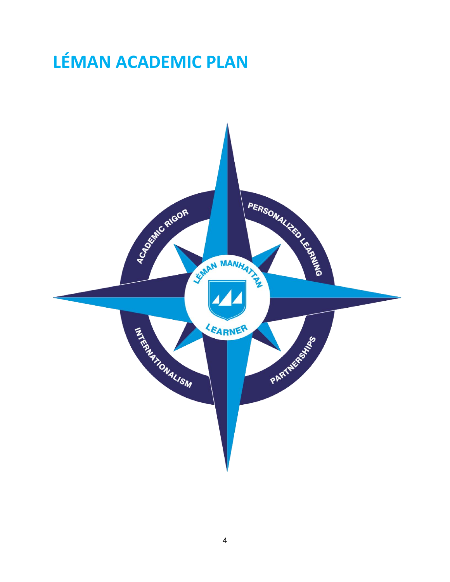# <span id="page-5-0"></span>**LÉMAN ACADEMIC PLAN**

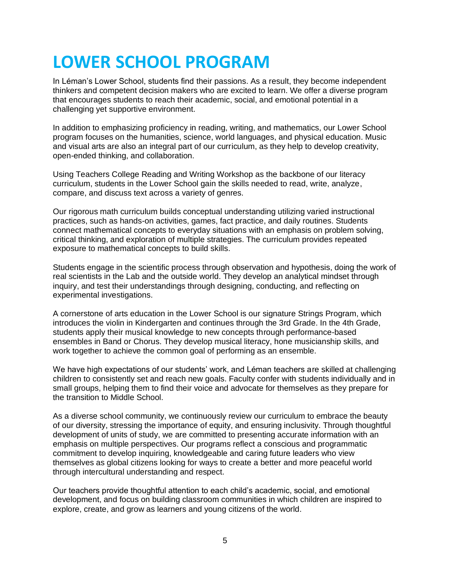# <span id="page-6-0"></span>**LOWER SCHOOL PROGRAM**

In Léman's Lower School, students find their passions. As a result, they become independent thinkers and competent decision makers who are excited to learn. We offer a diverse program that encourages students to reach their academic, social, and emotional potential in a challenging yet supportive environment.

In addition to emphasizing proficiency in reading, writing, and mathematics, our Lower School program focuses on the humanities, science, world languages, and physical education. Music and visual arts are also an integral part of our curriculum, as they help to develop creativity, open-ended thinking, and collaboration.

Using Teachers College Reading and Writing Workshop as the backbone of our literacy curriculum, students in the Lower School gain the skills needed to read, write, analyze, compare, and discuss text across a variety of genres.

Our rigorous math curriculum builds conceptual understanding utilizing varied instructional practices, such as hands-on activities, games, fact practice, and daily routines. Students connect mathematical concepts to everyday situations with an emphasis on problem solving, critical thinking, and exploration of multiple strategies. The curriculum provides repeated exposure to mathematical concepts to build skills.

Students engage in the scientific process through observation and hypothesis, doing the work of real scientists in the Lab and the outside world. They develop an analytical mindset through inquiry, and test their understandings through designing, conducting, and reflecting on experimental investigations.

A cornerstone of arts education in the Lower School is our signature Strings Program, which introduces the violin in Kindergarten and continues through the 3rd Grade. In the 4th Grade, students apply their musical knowledge to new concepts through performance-based ensembles in Band or Chorus. They develop musical literacy, hone musicianship skills, and work together to achieve the common goal of performing as an ensemble.

We have high expectations of our students' work, and Léman teachers are skilled at challenging children to consistently set and reach new goals. Faculty confer with students individually and in small groups, helping them to find their voice and advocate for themselves as they prepare for the transition to Middle School.

As a diverse school community, we continuously review our curriculum to embrace the beauty of our diversity, stressing the importance of equity, and ensuring inclusivity. Through thoughtful development of units of study, we are committed to presenting accurate information with an emphasis on multiple perspectives. Our programs reflect a conscious and programmatic commitment to develop inquiring, knowledgeable and caring future leaders who view themselves as global citizens looking for ways to create a better and more peaceful world through intercultural understanding and respect.

Our teachers provide thoughtful attention to each child's academic, social, and emotional development, and focus on building classroom communities in which children are inspired to explore, create, and grow as learners and young citizens of the world.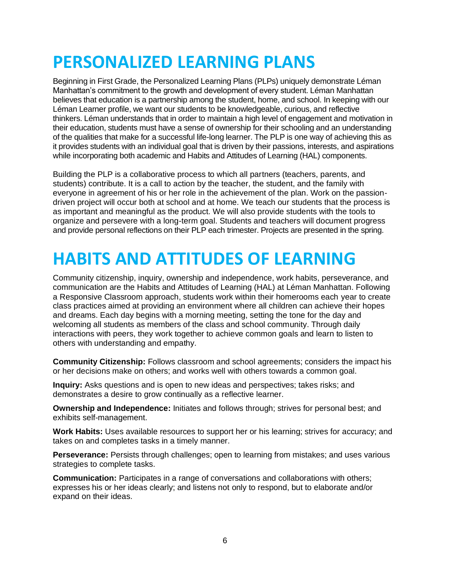## <span id="page-7-0"></span>**PERSONALIZED LEARNING PLANS**

Beginning in First Grade, the Personalized Learning Plans (PLPs) uniquely demonstrate Léman Manhattan's commitment to the growth and development of every student. Léman Manhattan believes that education is a partnership among the student, home, and school. In keeping with our Léman Learner profile, we want our students to be knowledgeable, curious, and reflective thinkers. Léman understands that in order to maintain a high level of engagement and motivation in their education, students must have a sense of ownership for their schooling and an understanding of the qualities that make for a successful life-long learner. The PLP is one way of achieving this as it provides students with an individual goal that is driven by their passions, interests, and aspirations while incorporating both academic and Habits and Attitudes of Learning (HAL) components.

Building the PLP is a collaborative process to which all partners (teachers, parents, and students) contribute. It is a call to action by the teacher, the student, and the family with everyone in agreement of his or her role in the achievement of the plan. Work on the passiondriven project will occur both at school and at home. We teach our students that the process is as important and meaningful as the product. We will also provide students with the tools to organize and persevere with a long-term goal. Students and teachers will document progress and provide personal reflections on their PLP each trimester. Projects are presented in the spring.

## <span id="page-7-1"></span>**HABITS AND ATTITUDES OF LEARNING**

Community citizenship, inquiry, ownership and independence, work habits, perseverance, and communication are the Habits and Attitudes of Learning (HAL) at Léman Manhattan. Following a Responsive Classroom approach, students work within their homerooms each year to create class practices aimed at providing an environment where all children can achieve their hopes and dreams. Each day begins with a morning meeting, setting the tone for the day and welcoming all students as members of the class and school community. Through daily interactions with peers, they work together to achieve common goals and learn to listen to others with understanding and empathy.

**Community Citizenship:** Follows classroom and school agreements; considers the impact his or her decisions make on others; and works well with others towards a common goal.

**Inquiry:** Asks questions and is open to new ideas and perspectives; takes risks; and demonstrates a desire to grow continually as a reflective learner.

**Ownership and Independence:** Initiates and follows through; strives for personal best; and exhibits self-management.

**Work Habits:** Uses available resources to support her or his learning; strives for accuracy; and takes on and completes tasks in a timely manner.

**Perseverance:** Persists through challenges; open to learning from mistakes; and uses various strategies to complete tasks.

**Communication:** Participates in a range of conversations and collaborations with others; expresses his or her ideas clearly; and listens not only to respond, but to elaborate and/or expand on their ideas.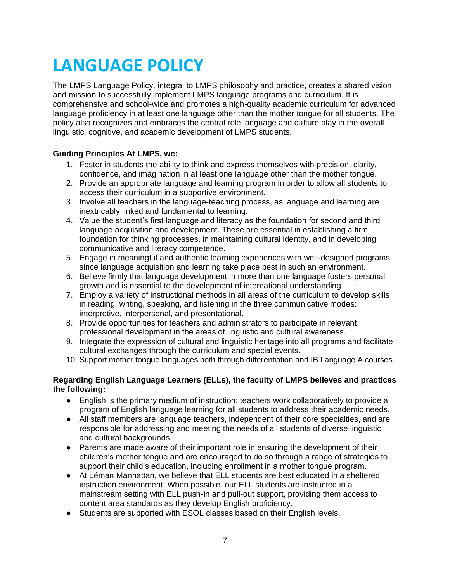# <span id="page-8-0"></span>**LANGUAGE POLICY**

The LMPS Language Policy, integral to LMPS philosophy and practice, creates a shared vision and mission to successfully implement LMPS language programs and curriculum. It is comprehensive and school-wide and promotes a high-quality academic curriculum for advanced language proficiency in at least one language other than the mother tongue for all students. The policy also recognizes and embraces the central role language and culture play in the overall linguistic, cognitive, and academic development of LMPS students.

#### **Guiding Principles At LMPS, we:**

- 1. Foster in students the ability to think and express themselves with precision, clarity, confidence, and imagination in at least one language other than the mother tongue.
- 2. Provide an appropriate language and learning program in order to allow all students to access their curriculum in a supportive environment.
- 3. Involve all teachers in the language-teaching process, as language and learning are inextricably linked and fundamental to learning.
- 4. Value the student's first language and literacy as the foundation for second and third language acquisition and development. These are essential in establishing a firm foundation for thinking processes, in maintaining cultural identity, and in developing communicative and literacy competence.
- 5. Engage in meaningful and authentic learning experiences with well-designed programs since language acquisition and learning take place best in such an environment.
- 6. Believe firmly that language development in more than one language fosters personal growth and is essential to the development of international understanding.
- 7. Employ a variety of instructional methods in all areas of the curriculum to develop skills in reading, writing, speaking, and listening in the three communicative modes: interpretive, interpersonal, and presentational.
- 8. Provide opportunities for teachers and administrators to participate in relevant professional development in the areas of linguistic and cultural awareness.
- 9. Integrate the expression of cultural and linguistic heritage into all programs and facilitate cultural exchanges through the curriculum and special events.
- 10. Support mother tongue languages both through differentiation and IB Language A courses.

#### **Regarding English Language Learners (ELLs), the faculty of LMPS believes and practices the following:**

- English is the primary medium of instruction; teachers work collaboratively to provide a program of English language learning for all students to address their academic needs.
- All staff members are language teachers, independent of their core specialties, and are responsible for addressing and meeting the needs of all students of diverse linguistic and cultural backgrounds.
- Parents are made aware of their important role in ensuring the development of their children's mother tongue and are encouraged to do so through a range of strategies to support their child's education, including enrollment in a mother tongue program.
- At Léman Manhattan, we believe that ELL students are best educated in a sheltered instruction environment. When possible, our ELL students are instructed in a mainstream setting with ELL push-in and pull-out support, providing them access to content area standards as they develop English proficiency.
- Students are supported with ESOL classes based on their English levels.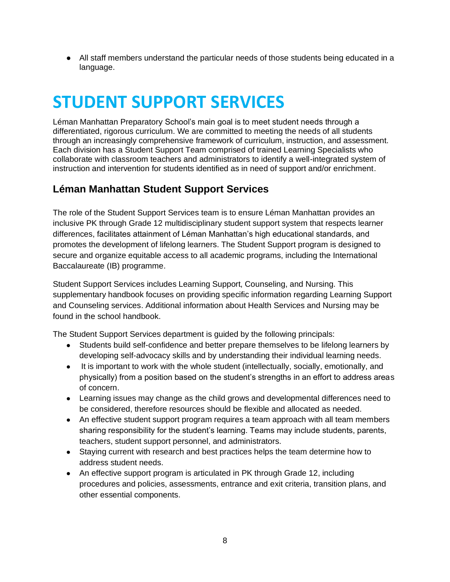● All staff members understand the particular needs of those students being educated in a language.

## <span id="page-9-0"></span>**STUDENT SUPPORT SERVICES**

Léman Manhattan Preparatory School's main goal is to meet student needs through a differentiated, rigorous curriculum. We are committed to meeting the needs of all students through an increasingly comprehensive framework of curriculum, instruction, and assessment. Each division has a Student Support Team comprised of trained Learning Specialists who collaborate with classroom teachers and administrators to identify a well-integrated system of instruction and intervention for students identified as in need of support and/or enrichment.

### **Léman Manhattan Student Support Services**

The role of the Student Support Services team is to ensure Léman Manhattan provides an inclusive PK through Grade 12 multidisciplinary student support system that respects learner differences, facilitates attainment of Léman Manhattan's high educational standards, and promotes the development of lifelong learners. The Student Support program is designed to secure and organize equitable access to all academic programs, including the International Baccalaureate (IB) programme.

Student Support Services includes Learning Support, Counseling, and Nursing. This supplementary handbook focuses on providing specific information regarding Learning Support and Counseling services. Additional information about Health Services and Nursing may be found in the school handbook.

The Student Support Services department is guided by the following principals:

- Students build self-confidence and better prepare themselves to be lifelong learners by developing self-advocacy skills and by understanding their individual learning needs.
- It is important to work with the whole student (intellectually, socially, emotionally, and physically) from a position based on the student's strengths in an effort to address areas of concern.
- Learning issues may change as the child grows and developmental differences need to be considered, therefore resources should be flexible and allocated as needed.
- An effective student support program requires a team approach with all team members sharing responsibility for the student's learning. Teams may include students, parents, teachers, student support personnel, and administrators.
- Staying current with research and best practices helps the team determine how to address student needs.
- An effective support program is articulated in PK through Grade 12, including procedures and policies, assessments, entrance and exit criteria, transition plans, and other essential components.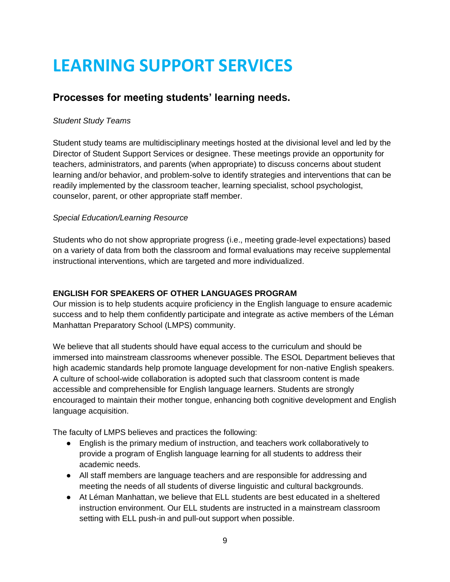# **LEARNING SUPPORT SERVICES**

### **Processes for meeting students' learning needs.**

#### *Student Study Teams*

Student study teams are multidisciplinary meetings hosted at the divisional level and led by the Director of Student Support Services or designee. These meetings provide an opportunity for teachers, administrators, and parents (when appropriate) to discuss concerns about student learning and/or behavior, and problem-solve to identify strategies and interventions that can be readily implemented by the classroom teacher, learning specialist, school psychologist, counselor, parent, or other appropriate staff member.

#### *Special Education/Learning Resource*

Students who do not show appropriate progress (i.e., meeting grade-level expectations) based on a variety of data from both the classroom and formal evaluations may receive supplemental instructional interventions, which are targeted and more individualized.

#### **ENGLISH FOR SPEAKERS OF OTHER LANGUAGES PROGRAM**

Our mission is to help students acquire proficiency in the English language to ensure academic success and to help them confidently participate and integrate as active members of the Léman Manhattan Preparatory School (LMPS) community.

We believe that all students should have equal access to the curriculum and should be immersed into mainstream classrooms whenever possible. The ESOL Department believes that high academic standards help promote language development for non-native English speakers. A culture of school-wide collaboration is adopted such that classroom content is made accessible and comprehensible for English language learners. Students are strongly encouraged to maintain their mother tongue, enhancing both cognitive development and English language acquisition.

The faculty of LMPS believes and practices the following:

- English is the primary medium of instruction, and teachers work collaboratively to provide a program of English language learning for all students to address their academic needs.
- All staff members are language teachers and are responsible for addressing and meeting the needs of all students of diverse linguistic and cultural backgrounds.
- At Léman Manhattan, we believe that ELL students are best educated in a sheltered instruction environment. Our ELL students are instructed in a mainstream classroom setting with ELL push-in and pull-out support when possible.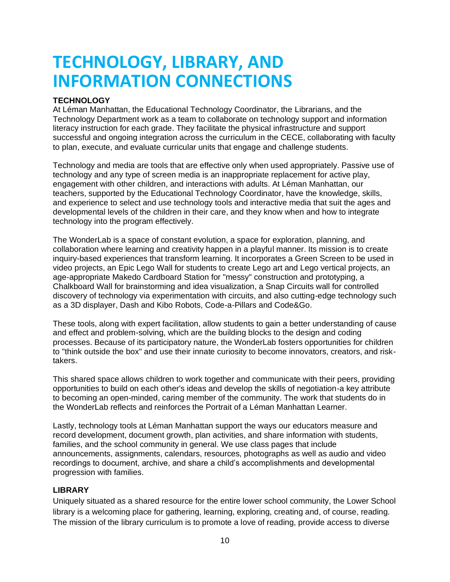### <span id="page-11-0"></span>**TECHNOLOGY, LIBRARY, AND INFORMATION CONNECTIONS**

#### **TECHNOLOGY**

At Léman Manhattan, the Educational Technology Coordinator, the Librarians, and the Technology Department work as a team to collaborate on technology support and information literacy instruction for each grade. They facilitate the physical infrastructure and support successful and ongoing integration across the curriculum in the CECE, collaborating with faculty to plan, execute, and evaluate curricular units that engage and challenge students.

Technology and media are tools that are effective only when used appropriately. Passive use of technology and any type of screen media is an inappropriate replacement for active play, engagement with other children, and interactions with adults. At Léman Manhattan, our teachers, supported by the Educational Technology Coordinator, have the knowledge, skills, and experience to select and use technology tools and interactive media that suit the ages and developmental levels of the children in their care, and they know when and how to integrate technology into the program effectively.

The WonderLab is a space of constant evolution, a space for exploration, planning, and collaboration where learning and creativity happen in a playful manner. Its mission is to create inquiry-based experiences that transform learning. It incorporates a Green Screen to be used in video projects, an Epic Lego Wall for students to create Lego art and Lego vertical projects, an age-appropriate Makedo Cardboard Station for "messy" construction and prototyping, a Chalkboard Wall for brainstorming and idea visualization, a Snap Circuits wall for controlled discovery of technology via experimentation with circuits, and also cutting-edge technology such as a 3D displayer, Dash and Kibo Robots, Code-a-Pillars and Code&Go.

These tools, along with expert facilitation, allow students to gain a better understanding of cause and effect and problem-solving, which are the building blocks to the design and coding processes. Because of its participatory nature, the WonderLab fosters opportunities for children to "think outside the box" and use their innate curiosity to become innovators, creators, and risktakers.

This shared space allows children to work together and communicate with their peers, providing opportunities to build on each other's ideas and develop the skills of negotiation-a key attribute to becoming an open-minded, caring member of the community. The work that students do in the WonderLab reflects and reinforces the Portrait of a Léman Manhattan Learner.

Lastly, technology tools at Léman Manhattan support the ways our educators measure and record development, document growth, plan activities, and share information with students, families, and the school community in general. We use class pages that include announcements, assignments, calendars, resources, photographs as well as audio and video recordings to document, archive, and share a child's accomplishments and developmental progression with families.

#### **LIBRARY**

Uniquely situated as a shared resource for the entire lower school community, the Lower School library is a welcoming place for gathering, learning, exploring, creating and, of course, reading. The mission of the library curriculum is to promote a love of reading, provide access to diverse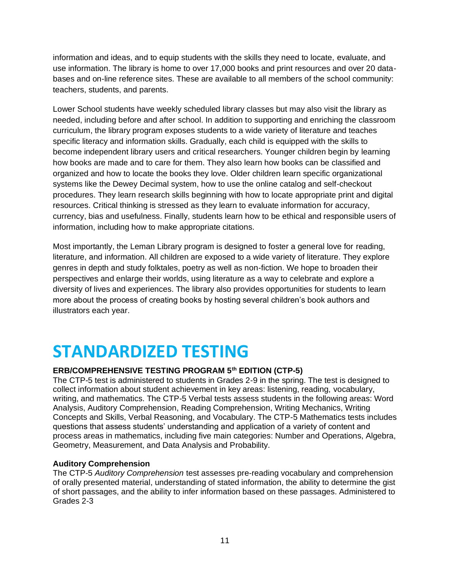information and ideas, and to equip students with the skills they need to locate, evaluate, and use information. The library is home to over 17,000 books and print resources and over 20 databases and on-line reference sites. These are available to all members of the school community: teachers, students, and parents.

Lower School students have weekly scheduled library classes but may also visit the library as needed, including before and after school. In addition to supporting and enriching the classroom curriculum, the library program exposes students to a wide variety of literature and teaches specific literacy and information skills. Gradually, each child is equipped with the skills to become independent library users and critical researchers. Younger children begin by learning how books are made and to care for them. They also learn how books can be classified and organized and how to locate the books they love. Older children learn specific organizational systems like the Dewey Decimal system, how to use the online catalog and self-checkout procedures. They learn research skills beginning with how to locate appropriate print and digital resources. Critical thinking is stressed as they learn to evaluate information for accuracy, currency, bias and usefulness. Finally, students learn how to be ethical and responsible users of information, including how to make appropriate citations.

Most importantly, the Leman Library program is designed to foster a general love for reading, literature, and information. All children are exposed to a wide variety of literature. They explore genres in depth and study folktales, poetry as well as non-fiction. We hope to broaden their perspectives and enlarge their worlds, using literature as a way to celebrate and explore a diversity of lives and experiences. The library also provides opportunities for students to learn more about the process of creating books by hosting several children's book authors and illustrators each year.

### <span id="page-12-0"></span>**STANDARDIZED TESTING**

#### **ERB/COMPREHENSIVE TESTING PROGRAM 5th EDITION (CTP-5)**

The CTP-5 test is administered to students in Grades 2-9 in the spring. The test is designed to collect information about student achievement in key areas: listening, reading, vocabulary, writing, and mathematics. The CTP-5 Verbal tests assess students in the following areas: Word Analysis, Auditory Comprehension, Reading Comprehension, Writing Mechanics, Writing Concepts and Skills, Verbal Reasoning, and Vocabulary. The CTP-5 Mathematics tests includes questions that assess students' understanding and application of a variety of content and process areas in mathematics, including five main categories: Number and Operations, Algebra, Geometry, Measurement, and Data Analysis and Probability.

#### **Auditory Comprehension**

The CTP-5 *Auditory Comprehension* test assesses pre-reading vocabulary and comprehension of orally presented material, understanding of stated information, the ability to determine the gist of short passages, and the ability to infer information based on these passages. Administered to Grades 2-3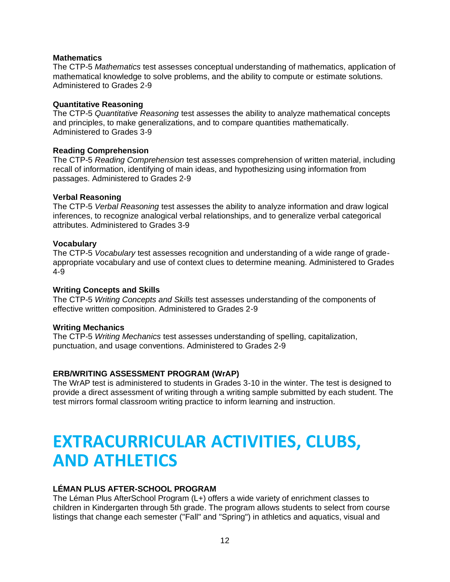#### **Mathematics**

The CTP-5 *Mathematics* test assesses conceptual understanding of mathematics, application of mathematical knowledge to solve problems, and the ability to compute or estimate solutions. Administered to Grades 2-9

#### **Quantitative Reasoning**

The CTP-5 *Quantitative Reasoning* test assesses the ability to analyze mathematical concepts and principles, to make generalizations, and to compare quantities mathematically. Administered to Grades 3-9

#### **Reading Comprehension**

The CTP-5 *Reading Comprehension* test assesses comprehension of written material, including recall of information, identifying of main ideas, and hypothesizing using information from passages. Administered to Grades 2-9

#### **Verbal Reasoning**

The CTP-5 *Verbal Reasoning* test assesses the ability to analyze information and draw logical inferences, to recognize analogical verbal relationships, and to generalize verbal categorical attributes. Administered to Grades 3-9

#### **Vocabulary**

The CTP-5 *Vocabulary* test assesses recognition and understanding of a wide range of gradeappropriate vocabulary and use of context clues to determine meaning. Administered to Grades 4-9

#### **Writing Concepts and Skills**

The CTP-5 *Writing Concepts and Skills* test assesses understanding of the components of effective written composition. Administered to Grades 2-9

#### **Writing Mechanics**

The CTP-5 *Writing Mechanics* test assesses understanding of spelling, capitalization, punctuation, and usage conventions. Administered to Grades 2-9

#### **ERB/WRITING ASSESSMENT PROGRAM (WrAP)**

The WrAP test is administered to students in Grades 3-10 in the winter. The test is designed to provide a direct assessment of writing through a writing sample submitted by each student. The test mirrors formal classroom writing practice to inform learning and instruction.

### <span id="page-13-0"></span>**EXTRACURRICULAR ACTIVITIES, CLUBS, AND ATHLETICS**

#### **LÉMAN PLUS AFTER-SCHOOL PROGRAM**

The Léman Plus AfterSchool Program (L+) offers a wide variety of enrichment classes to children in Kindergarten through 5th grade. The program allows students to select from course listings that change each semester ("Fall" and "Spring") in athletics and aquatics, visual and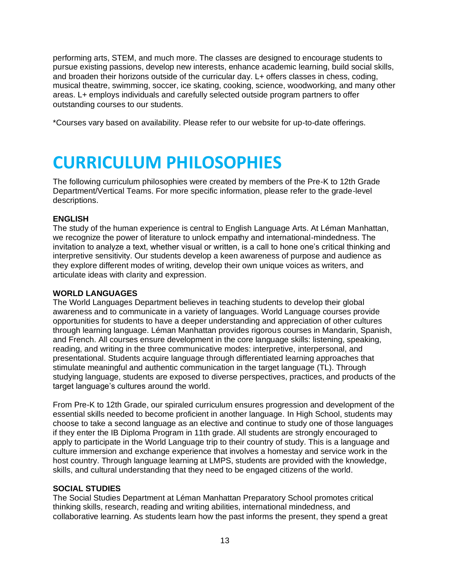performing arts, STEM, and much more. The classes are designed to encourage students to pursue existing passions, develop new interests, enhance academic learning, build social skills, and broaden their horizons outside of the curricular day. L+ offers classes in chess, coding, musical theatre, swimming, soccer, ice skating, cooking, science, woodworking, and many other areas. L+ employs individuals and carefully selected outside program partners to offer outstanding courses to our students.

\*Courses vary based on availability. Please refer to our website for up-to-date offerings.

## <span id="page-14-0"></span>**CURRICULUM PHILOSOPHIES**

The following curriculum philosophies were created by members of the Pre-K to 12th Grade Department/Vertical Teams. For more specific information, please refer to the grade-level descriptions.

#### **ENGLISH**

The study of the human experience is central to English Language Arts. At Léman Manhattan, we recognize the power of literature to unlock empathy and international-mindedness. The invitation to analyze a text, whether visual or written, is a call to hone one's critical thinking and interpretive sensitivity. Our students develop a keen awareness of purpose and audience as they explore different modes of writing, develop their own unique voices as writers, and articulate ideas with clarity and expression.

#### **WORLD LANGUAGES**

The World Languages Department believes in teaching students to develop their global awareness and to communicate in a variety of languages. World Language courses provide opportunities for students to have a deeper understanding and appreciation of other cultures through learning language. Léman Manhattan provides rigorous courses in Mandarin, Spanish, and French. All courses ensure development in the core language skills: listening, speaking, reading, and writing in the three communicative modes: interpretive, interpersonal, and presentational. Students acquire language through differentiated learning approaches that stimulate meaningful and authentic communication in the target language (TL). Through studying language, students are exposed to diverse perspectives, practices, and products of the target language's cultures around the world.

From Pre-K to 12th Grade, our spiraled curriculum ensures progression and development of the essential skills needed to become proficient in another language. In High School, students may choose to take a second language as an elective and continue to study one of those languages if they enter the IB Diploma Program in 11th grade. All students are strongly encouraged to apply to participate in the World Language trip to their country of study. This is a language and culture immersion and exchange experience that involves a homestay and service work in the host country. Through language learning at LMPS, students are provided with the knowledge, skills, and cultural understanding that they need to be engaged citizens of the world.

#### **SOCIAL STUDIES**

The Social Studies Department at Léman Manhattan Preparatory School promotes critical thinking skills, research, reading and writing abilities, international mindedness, and collaborative learning. As students learn how the past informs the present, they spend a great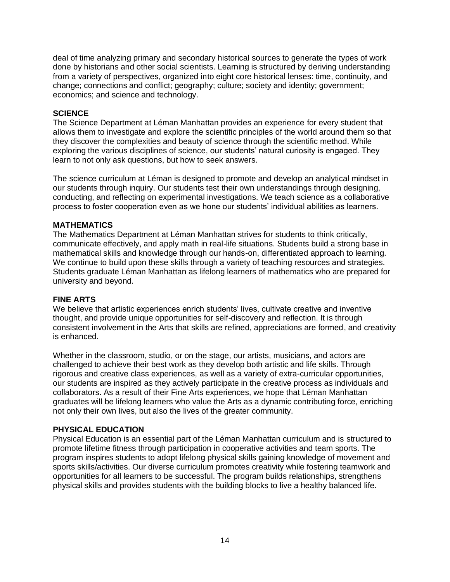deal of time analyzing primary and secondary historical sources to generate the types of work done by historians and other social scientists. Learning is structured by deriving understanding from a variety of perspectives, organized into eight core historical lenses: time, continuity, and change; connections and conflict; geography; culture; society and identity; government; economics; and science and technology.

#### **SCIENCE**

The Science Department at Léman Manhattan provides an experience for every student that allows them to investigate and explore the scientific principles of the world around them so that they discover the complexities and beauty of science through the scientific method. While exploring the various disciplines of science, our students' natural curiosity is engaged. They learn to not only ask questions, but how to seek answers.

The science curriculum at Léman is designed to promote and develop an analytical mindset in our students through inquiry. Our students test their own understandings through designing, conducting, and reflecting on experimental investigations. We teach science as a collaborative process to foster cooperation even as we hone our students' individual abilities as learners.

#### **MATHEMATICS**

The Mathematics Department at Léman Manhattan strives for students to think critically, communicate effectively, and apply math in real-life situations. Students build a strong base in mathematical skills and knowledge through our hands-on, differentiated approach to learning. We continue to build upon these skills through a variety of teaching resources and strategies. Students graduate Léman Manhattan as lifelong learners of mathematics who are prepared for university and beyond.

#### **FINE ARTS**

We believe that artistic experiences enrich students' lives, cultivate creative and inventive thought, and provide unique opportunities for self-discovery and reflection. It is through consistent involvement in the Arts that skills are refined, appreciations are formed, and creativity is enhanced.

Whether in the classroom, studio, or on the stage, our artists, musicians, and actors are challenged to achieve their best work as they develop both artistic and life skills. Through rigorous and creative class experiences, as well as a variety of extra-curricular opportunities, our students are inspired as they actively participate in the creative process as individuals and collaborators. As a result of their Fine Arts experiences, we hope that Léman Manhattan graduates will be lifelong learners who value the Arts as a dynamic contributing force, enriching not only their own lives, but also the lives of the greater community.

#### **PHYSICAL EDUCATION**

Physical Education is an essential part of the Léman Manhattan curriculum and is structured to promote lifetime fitness through participation in cooperative activities and team sports. The program inspires students to adopt lifelong physical skills gaining knowledge of movement and sports skills/activities. Our diverse curriculum promotes creativity while fostering teamwork and opportunities for all learners to be successful. The program builds relationships, strengthens physical skills and provides students with the building blocks to live a healthy balanced life.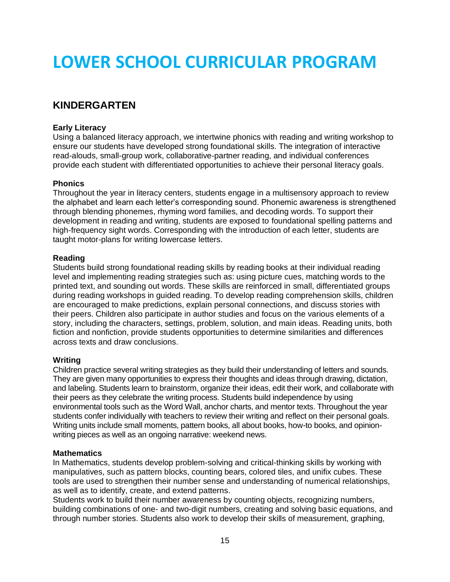# <span id="page-16-0"></span>**LOWER SCHOOL CURRICULAR PROGRAM**

### <span id="page-16-1"></span>**KINDERGARTEN**

#### **Early Literacy**

Using a balanced literacy approach, we intertwine phonics with reading and writing workshop to ensure our students have developed strong foundational skills. The integration of interactive read-alouds, small-group work, collaborative-partner reading, and individual conferences provide each student with differentiated opportunities to achieve their personal literacy goals.

#### **Phonics**

Throughout the year in literacy centers, students engage in a multisensory approach to review the alphabet and learn each letter's corresponding sound. Phonemic awareness is strengthened through blending phonemes, rhyming word families, and decoding words. To support their development in reading and writing, students are exposed to foundational spelling patterns and high-frequency sight words. Corresponding with the introduction of each letter, students are taught motor-plans for writing lowercase letters.

#### **Reading**

Students build strong foundational reading skills by reading books at their individual reading level and implementing reading strategies such as: using picture cues, matching words to the printed text, and sounding out words. These skills are reinforced in small, differentiated groups during reading workshops in guided reading. To develop reading comprehension skills, children are encouraged to make predictions, explain personal connections, and discuss stories with their peers. Children also participate in author studies and focus on the various elements of a story, including the characters, settings, problem, solution, and main ideas. Reading units, both fiction and nonfiction, provide students opportunities to determine similarities and differences across texts and draw conclusions.

#### **Writing**

Children practice several writing strategies as they build their understanding of letters and sounds. They are given many opportunities to express their thoughts and ideas through drawing, dictation, and labeling. Students learn to brainstorm, organize their ideas, edit their work, and collaborate with their peers as they celebrate the writing process. Students build independence by using environmental tools such as the Word Wall, anchor charts, and mentor texts. Throughout the year students confer individually with teachers to review their writing and reflect on their personal goals. Writing units include small moments, pattern books, all about books, how-to books, and opinionwriting pieces as well as an ongoing narrative: weekend news.

#### **Mathematics**

In Mathematics, students develop problem-solving and critical-thinking skills by working with manipulatives, such as pattern blocks, counting bears, colored tiles, and unifix cubes. These tools are used to strengthen their number sense and understanding of numerical relationships, as well as to identify, create, and extend patterns.

Students work to build their number awareness by counting objects, recognizing numbers, building combinations of one- and two-digit numbers, creating and solving basic equations, and through number stories. Students also work to develop their skills of measurement, graphing,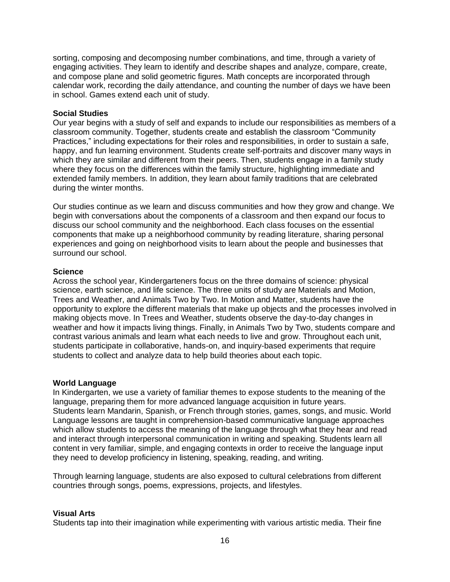sorting, composing and decomposing number combinations, and time, through a variety of engaging activities. They learn to identify and describe shapes and analyze, compare, create, and compose plane and solid geometric figures. Math concepts are incorporated through calendar work, recording the daily attendance, and counting the number of days we have been in school. Games extend each unit of study.

#### **Social Studies**

Our year begins with a study of self and expands to include our responsibilities as members of a classroom community. Together, students create and establish the classroom "Community Practices," including expectations for their roles and responsibilities, in order to sustain a safe, happy, and fun learning environment. Students create self-portraits and discover many ways in which they are similar and different from their peers. Then, students engage in a family study where they focus on the differences within the family structure, highlighting immediate and extended family members. In addition, they learn about family traditions that are celebrated during the winter months.

Our studies continue as we learn and discuss communities and how they grow and change. We begin with conversations about the components of a classroom and then expand our focus to discuss our school community and the neighborhood. Each class focuses on the essential components that make up a neighborhood community by reading literature, sharing personal experiences and going on neighborhood visits to learn about the people and businesses that surround our school.

#### **Science**

Across the school year, Kindergarteners focus on the three domains of science: physical science, earth science, and life science. The three units of study are Materials and Motion, Trees and Weather, and Animals Two by Two. In Motion and Matter, students have the opportunity to explore the different materials that make up objects and the processes involved in making objects move. In Trees and Weather, students observe the day-to-day changes in weather and how it impacts living things. Finally, in Animals Two by Two, students compare and contrast various animals and learn what each needs to live and grow. Throughout each unit, students participate in collaborative, hands-on, and inquiry-based experiments that require students to collect and analyze data to help build theories about each topic.

#### **World Language**

In Kindergarten, we use a variety of familiar themes to expose students to the meaning of the language, preparing them for more advanced language acquisition in future years. Students learn Mandarin, Spanish, or French through stories, games, songs, and music. World Language lessons are taught in comprehension-based communicative language approaches which allow students to access the meaning of the language through what they hear and read and interact through interpersonal communication in writing and speaking. Students learn all content in very familiar, simple, and engaging contexts in order to receive the language input they need to develop proficiency in listening, speaking, reading, and writing.

Through learning language, students are also exposed to cultural celebrations from different countries through songs, poems, expressions, projects, and lifestyles.

#### **Visual Arts**

Students tap into their imagination while experimenting with various artistic media. Their fine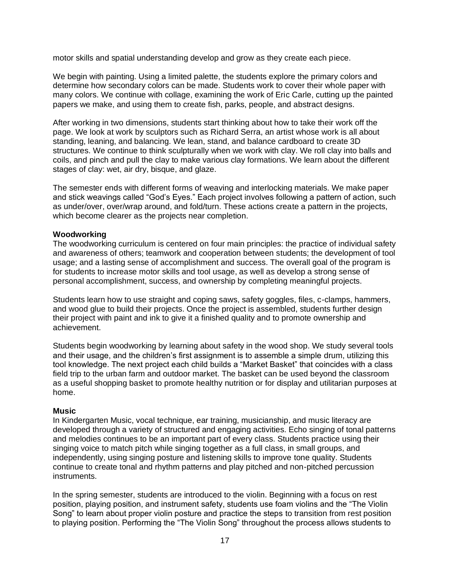motor skills and spatial understanding develop and grow as they create each piece.

We begin with painting. Using a limited palette, the students explore the primary colors and determine how secondary colors can be made. Students work to cover their whole paper with many colors. We continue with collage, examining the work of Eric Carle, cutting up the painted papers we make, and using them to create fish, parks, people, and abstract designs.

After working in two dimensions, students start thinking about how to take their work off the page. We look at work by sculptors such as Richard Serra, an artist whose work is all about standing, leaning, and balancing. We lean, stand, and balance cardboard to create 3D structures. We continue to think sculpturally when we work with clay. We roll clay into balls and coils, and pinch and pull the clay to make various clay formations. We learn about the different stages of clay: wet, air dry, bisque, and glaze.

The semester ends with different forms of weaving and interlocking materials. We make paper and stick weavings called "God's Eyes." Each project involves following a pattern of action, such as under/over, over/wrap around, and fold/turn. These actions create a pattern in the projects, which become clearer as the projects near completion.

#### **Woodworking**

The woodworking curriculum is centered on four main principles: the practice of individual safety and awareness of others; teamwork and cooperation between students; the development of tool usage; and a lasting sense of accomplishment and success. The overall goal of the program is for students to increase motor skills and tool usage, as well as develop a strong sense of personal accomplishment, success, and ownership by completing meaningful projects.

Students learn how to use straight and coping saws, safety goggles, files, c-clamps, hammers, and wood glue to build their projects. Once the project is assembled, students further design their project with paint and ink to give it a finished quality and to promote ownership and achievement.

Students begin woodworking by learning about safety in the wood shop. We study several tools and their usage, and the children's first assignment is to assemble a simple drum, utilizing this tool knowledge. The next project each child builds a "Market Basket" that coincides with a class field trip to the urban farm and outdoor market. The basket can be used beyond the classroom as a useful shopping basket to promote healthy nutrition or for display and utilitarian purposes at home.

#### **Music**

In Kindergarten Music, vocal technique, ear training, musicianship, and music literacy are developed through a variety of structured and engaging activities. Echo singing of tonal patterns and melodies continues to be an important part of every class. Students practice using their singing voice to match pitch while singing together as a full class, in small groups, and independently, using singing posture and listening skills to improve tone quality. Students continue to create tonal and rhythm patterns and play pitched and non-pitched percussion instruments.

In the spring semester, students are introduced to the violin. Beginning with a focus on rest position, playing position, and instrument safety, students use foam violins and the "The Violin Song" to learn about proper violin posture and practice the steps to transition from rest position to playing position. Performing the "The Violin Song" throughout the process allows students to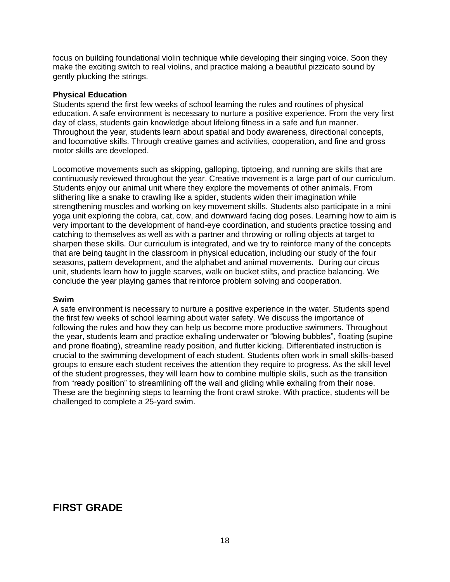focus on building foundational violin technique while developing their singing voice. Soon they make the exciting switch to real violins, and practice making a beautiful pizzicato sound by gently plucking the strings.

#### **Physical Education**

Students spend the first few weeks of school learning the rules and routines of physical education. A safe environment is necessary to nurture a positive experience. From the very first day of class, students gain knowledge about lifelong fitness in a safe and fun manner. Throughout the year, students learn about spatial and body awareness, directional concepts, and locomotive skills. Through creative games and activities, cooperation, and fine and gross motor skills are developed.

Locomotive movements such as skipping, galloping, tiptoeing, and running are skills that are continuously reviewed throughout the year. Creative movement is a large part of our curriculum. Students enjoy our animal unit where they explore the movements of other animals. From slithering like a snake to crawling like a spider, students widen their imagination while strengthening muscles and working on key movement skills. Students also participate in a mini yoga unit exploring the cobra, cat, cow, and downward facing dog poses. Learning how to aim is very important to the development of hand-eye coordination, and students practice tossing and catching to themselves as well as with a partner and throwing or rolling objects at target to sharpen these skills. Our curriculum is integrated, and we try to reinforce many of the concepts that are being taught in the classroom in physical education, including our study of the four seasons, pattern development, and the alphabet and animal movements. During our circus unit, students learn how to juggle scarves, walk on bucket stilts, and practice balancing. We conclude the year playing games that reinforce problem solving and cooperation.

#### **Swim**

A safe environment is necessary to nurture a positive experience in the water. Students spend the first few weeks of school learning about water safety. We discuss the importance of following the rules and how they can help us become more productive swimmers. Throughout the year, students learn and practice exhaling underwater or "blowing bubbles", floating (supine and prone floating), streamline ready position, and flutter kicking. Differentiated instruction is crucial to the swimming development of each student. Students often work in small skills-based groups to ensure each student receives the attention they require to progress. As the skill level of the student progresses, they will learn how to combine multiple skills, such as the transition from "ready position" to streamlining off the wall and gliding while exhaling from their nose. These are the beginning steps to learning the front crawl stroke. With practice, students will be challenged to complete a 25-yard swim.

### **FIRST GRADE**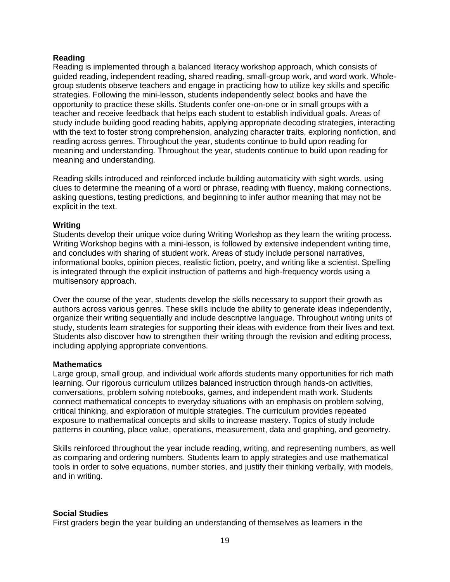#### **Reading**

Reading is implemented through a balanced literacy workshop approach, which consists of guided reading, independent reading, shared reading, small-group work, and word work. Wholegroup students observe teachers and engage in practicing how to utilize key skills and specific strategies. Following the mini-lesson, students independently select books and have the opportunity to practice these skills. Students confer one-on-one or in small groups with a teacher and receive feedback that helps each student to establish individual goals. Areas of study include building good reading habits, applying appropriate decoding strategies, interacting with the text to foster strong comprehension, analyzing character traits, exploring nonfiction, and reading across genres. Throughout the year, students continue to build upon reading for meaning and understanding. Throughout the year, students continue to build upon reading for meaning and understanding.

Reading skills introduced and reinforced include building automaticity with sight words, using clues to determine the meaning of a word or phrase, reading with fluency, making connections, asking questions, testing predictions, and beginning to infer author meaning that may not be explicit in the text.

#### **Writing**

Students develop their unique voice during Writing Workshop as they learn the writing process. Writing Workshop begins with a mini-lesson, is followed by extensive independent writing time, and concludes with sharing of student work. Areas of study include personal narratives, informational books, opinion pieces, realistic fiction, poetry, and writing like a scientist. Spelling is integrated through the explicit instruction of patterns and high-frequency words using a multisensory approach.

Over the course of the year, students develop the skills necessary to support their growth as authors across various genres. These skills include the ability to generate ideas independently, organize their writing sequentially and include descriptive language. Throughout writing units of study, students learn strategies for supporting their ideas with evidence from their lives and text. Students also discover how to strengthen their writing through the revision and editing process, including applying appropriate conventions.

#### **Mathematics**

Large group, small group, and individual work affords students many opportunities for rich math learning. Our rigorous curriculum utilizes balanced instruction through hands-on activities, conversations, problem solving notebooks, games, and independent math work. Students connect mathematical concepts to everyday situations with an emphasis on problem solving, critical thinking, and exploration of multiple strategies. The curriculum provides repeated exposure to mathematical concepts and skills to increase mastery. Topics of study include patterns in counting, place value, operations, measurement, data and graphing, and geometry.

Skills reinforced throughout the year include reading, writing, and representing numbers, as well as comparing and ordering numbers. Students learn to apply strategies and use mathematical tools in order to solve equations, number stories, and justify their thinking verbally, with models, and in writing.

#### **Social Studies**

First graders begin the year building an understanding of themselves as learners in the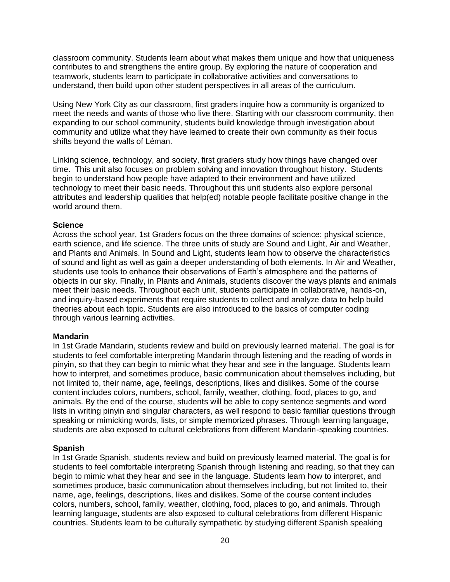classroom community. Students learn about what makes them unique and how that uniqueness contributes to and strengthens the entire group. By exploring the nature of cooperation and teamwork, students learn to participate in collaborative activities and conversations to understand, then build upon other student perspectives in all areas of the curriculum.

Using New York City as our classroom, first graders inquire how a community is organized to meet the needs and wants of those who live there. Starting with our classroom community, then expanding to our school community, students build knowledge through investigation about community and utilize what they have learned to create their own community as their focus shifts beyond the walls of Léman.

Linking science, technology, and society, first graders study how things have changed over time. This unit also focuses on problem solving and innovation throughout history. Students begin to understand how people have adapted to their environment and have utilized technology to meet their basic needs. Throughout this unit students also explore personal attributes and leadership qualities that help(ed) notable people facilitate positive change in the world around them.

#### **Science**

Across the school year, 1st Graders focus on the three domains of science: physical science, earth science, and life science. The three units of study are Sound and Light, Air and Weather, and Plants and Animals. In Sound and Light, students learn how to observe the characteristics of sound and light as well as gain a deeper understanding of both elements. In Air and Weather, students use tools to enhance their observations of Earth's atmosphere and the patterns of objects in our sky. Finally, in Plants and Animals, students discover the ways plants and animals meet their basic needs. Throughout each unit, students participate in collaborative, hands-on, and inquiry-based experiments that require students to collect and analyze data to help build theories about each topic. Students are also introduced to the basics of computer coding through various learning activities.

#### **Mandarin**

In 1st Grade Mandarin, students review and build on previously learned material. The goal is for students to feel comfortable interpreting Mandarin through listening and the reading of words in pinyin, so that they can begin to mimic what they hear and see in the language. Students learn how to interpret, and sometimes produce, basic communication about themselves including, but not limited to, their name, age, feelings, descriptions, likes and dislikes. Some of the course content includes colors, numbers, school, family, weather, clothing, food, places to go, and animals. By the end of the course, students will be able to copy sentence segments and word lists in writing pinyin and singular characters, as well respond to basic familiar questions through speaking or mimicking words, lists, or simple memorized phrases. Through learning language, students are also exposed to cultural celebrations from different Mandarin-speaking countries.

#### **Spanish**

In 1st Grade Spanish, students review and build on previously learned material. The goal is for students to feel comfortable interpreting Spanish through listening and reading, so that they can begin to mimic what they hear and see in the language. Students learn how to interpret, and sometimes produce, basic communication about themselves including, but not limited to, their name, age, feelings, descriptions, likes and dislikes. Some of the course content includes colors, numbers, school, family, weather, clothing, food, places to go, and animals. Through learning language, students are also exposed to cultural celebrations from different Hispanic countries. Students learn to be culturally sympathetic by studying different Spanish speaking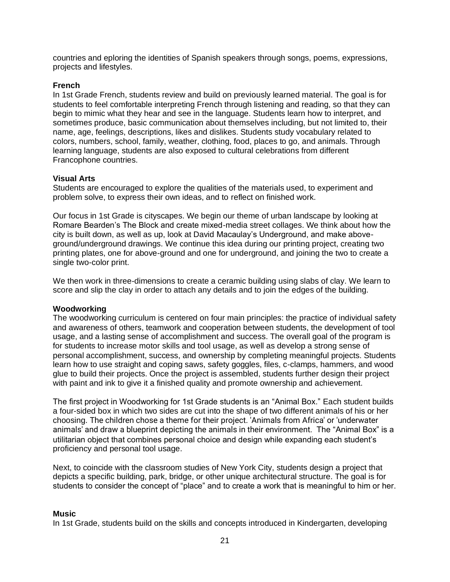countries and eploring the identities of Spanish speakers through songs, poems, expressions, projects and lifestyles.

#### **French**

In 1st Grade French, students review and build on previously learned material. The goal is for students to feel comfortable interpreting French through listening and reading, so that they can begin to mimic what they hear and see in the language. Students learn how to interpret, and sometimes produce, basic communication about themselves including, but not limited to, their name, age, feelings, descriptions, likes and dislikes. Students study vocabulary related to colors, numbers, school, family, weather, clothing, food, places to go, and animals. Through learning language, students are also exposed to cultural celebrations from different Francophone countries.

#### **Visual Arts**

Students are encouraged to explore the qualities of the materials used, to experiment and problem solve, to express their own ideas, and to reflect on finished work.

Our focus in 1st Grade is cityscapes. We begin our theme of urban landscape by looking at Romare Bearden's The Block and create mixed-media street collages. We think about how the city is built down, as well as up, look at David Macaulay's Underground, and make aboveground/underground drawings. We continue this idea during our printing project, creating two printing plates, one for above-ground and one for underground, and joining the two to create a single two-color print.

We then work in three-dimensions to create a ceramic building using slabs of clay. We learn to score and slip the clay in order to attach any details and to join the edges of the building.

#### **Woodworking**

The woodworking curriculum is centered on four main principles: the practice of individual safety and awareness of others, teamwork and cooperation between students, the development of tool usage, and a lasting sense of accomplishment and success. The overall goal of the program is for students to increase motor skills and tool usage, as well as develop a strong sense of personal accomplishment, success, and ownership by completing meaningful projects. Students learn how to use straight and coping saws, safety goggles, files, c-clamps, hammers, and wood glue to build their projects. Once the project is assembled, students further design their project with paint and ink to give it a finished quality and promote ownership and achievement.

The first project in Woodworking for 1st Grade students is an "Animal Box." Each student builds a four-sided box in which two sides are cut into the shape of two different animals of his or her choosing. The children chose a theme for their project. 'Animals from Africa' or 'underwater animals' and draw a blueprint depicting the animals in their environment. The "Animal Box" is a utilitarian object that combines personal choice and design while expanding each student's proficiency and personal tool usage.

Next, to coincide with the classroom studies of New York City, students design a project that depicts a specific building, park, bridge, or other unique architectural structure. The goal is for students to consider the concept of "place" and to create a work that is meaningful to him or her.

#### **Music**

In 1st Grade, students build on the skills and concepts introduced in Kindergarten, developing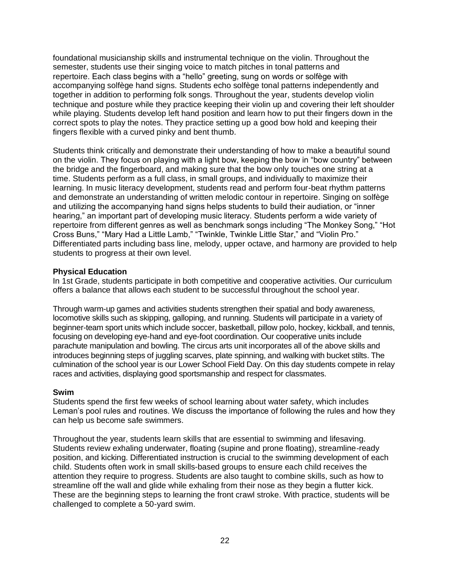foundational musicianship skills and instrumental technique on the violin. Throughout the semester, students use their singing voice to match pitches in tonal patterns and repertoire. Each class begins with a "hello" greeting, sung on words or solfège with accompanying solfège hand signs. Students echo solfège tonal patterns independently and together in addition to performing folk songs. Throughout the year, students develop violin technique and posture while they practice keeping their violin up and covering their left shoulder while playing. Students develop left hand position and learn how to put their fingers down in the correct spots to play the notes. They practice setting up a good bow hold and keeping their fingers flexible with a curved pinky and bent thumb.

Students think critically and demonstrate their understanding of how to make a beautiful sound on the violin. They focus on playing with a light bow, keeping the bow in "bow country" between the bridge and the fingerboard, and making sure that the bow only touches one string at a time. Students perform as a full class, in small groups, and individually to maximize their learning. In music literacy development, students read and perform four-beat rhythm patterns and demonstrate an understanding of written melodic contour in repertoire. Singing on solfège and utilizing the accompanying hand signs helps students to build their audiation, or "inner hearing," an important part of developing music literacy. Students perform a wide variety of repertoire from different genres as well as benchmark songs including "The Monkey Song," "Hot Cross Buns," "Mary Had a Little Lamb," "Twinkle, Twinkle Little Star," and "Violin Pro." Differentiated parts including bass line, melody, upper octave, and harmony are provided to help students to progress at their own level.

#### **Physical Education**

In 1st Grade, students participate in both competitive and cooperative activities. Our curriculum offers a balance that allows each student to be successful throughout the school year.

Through warm-up games and activities students strengthen their spatial and body awareness, locomotive skills such as skipping, galloping, and running. Students will participate in a variety of beginner-team sport units which include soccer, basketball, pillow polo, hockey, kickball, and tennis, focusing on developing eye-hand and eye-foot coordination. Our cooperative units include parachute manipulation and bowling. The circus arts unit incorporates all of the above skills and introduces beginning steps of juggling scarves, plate spinning, and walking with bucket stilts. The culmination of the school year is our Lower School Field Day. On this day students compete in relay races and activities, displaying good sportsmanship and respect for classmates.

#### **Swim**

Students spend the first few weeks of school learning about water safety, which includes Leman's pool rules and routines. We discuss the importance of following the rules and how they can help us become safe swimmers.

Throughout the year, students learn skills that are essential to swimming and lifesaving. Students review exhaling underwater, floating (supine and prone floating), streamline-ready position, and kicking. Differentiated instruction is crucial to the swimming development of each child. Students often work in small skills-based groups to ensure each child receives the attention they require to progress. Students are also taught to combine skills, such as how to streamline off the wall and glide while exhaling from their nose as they begin a flutter kick. These are the beginning steps to learning the front crawl stroke. With practice, students will be challenged to complete a 50-yard swim.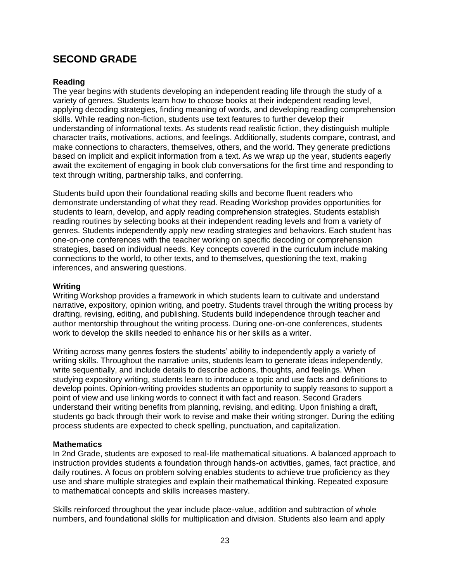### <span id="page-24-0"></span>**SECOND GRADE**

#### **Reading**

The year begins with students developing an independent reading life through the study of a variety of genres. Students learn how to choose books at their independent reading level, applying decoding strategies, finding meaning of words, and developing reading comprehension skills. While reading non-fiction, students use text features to further develop their understanding of informational texts. As students read realistic fiction, they distinguish multiple character traits, motivations, actions, and feelings. Additionally, students compare, contrast, and make connections to characters, themselves, others, and the world. They generate predictions based on implicit and explicit information from a text. As we wrap up the year, students eagerly await the excitement of engaging in book club conversations for the first time and responding to text through writing, partnership talks, and conferring.

Students build upon their foundational reading skills and become fluent readers who demonstrate understanding of what they read. Reading Workshop provides opportunities for students to learn, develop, and apply reading comprehension strategies. Students establish reading routines by selecting books at their independent reading levels and from a variety of genres. Students independently apply new reading strategies and behaviors. Each student has one-on-one conferences with the teacher working on specific decoding or comprehension strategies, based on individual needs. Key concepts covered in the curriculum include making connections to the world, to other texts, and to themselves, questioning the text, making inferences, and answering questions.

#### **Writing**

Writing Workshop provides a framework in which students learn to cultivate and understand narrative, expository, opinion writing, and poetry. Students travel through the writing process by drafting, revising, editing, and publishing. Students build independence through teacher and author mentorship throughout the writing process. During one-on-one conferences, students work to develop the skills needed to enhance his or her skills as a writer.

Writing across many genres fosters the students' ability to independently apply a variety of writing skills. Throughout the narrative units, students learn to generate ideas independently, write sequentially, and include details to describe actions, thoughts, and feelings. When studying expository writing, students learn to introduce a topic and use facts and definitions to develop points. Opinion-writing provides students an opportunity to supply reasons to support a point of view and use linking words to connect it with fact and reason. Second Graders understand their writing benefits from planning, revising, and editing. Upon finishing a draft, students go back through their work to revise and make their writing stronger. During the editing process students are expected to check spelling, punctuation, and capitalization.

#### **Mathematics**

In 2nd Grade, students are exposed to real-life mathematical situations. A balanced approach to instruction provides students a foundation through hands-on activities, games, fact practice, and daily routines. A focus on problem solving enables students to achieve true proficiency as they use and share multiple strategies and explain their mathematical thinking. Repeated exposure to mathematical concepts and skills increases mastery.

Skills reinforced throughout the year include place-value, addition and subtraction of whole numbers, and foundational skills for multiplication and division. Students also learn and apply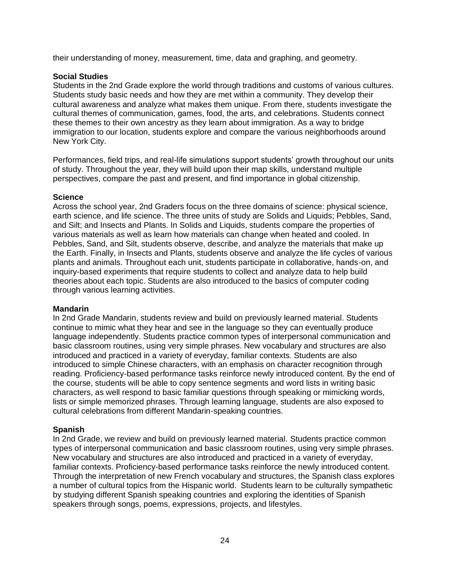their understanding of money, measurement, time, data and graphing, and geometry.

#### **Social Studies**

Students in the 2nd Grade explore the world through traditions and customs of various cultures. Students study basic needs and how they are met within a community. They develop their cultural awareness and analyze what makes them unique. From there, students investigate the cultural themes of communication, games, food, the arts, and celebrations. Students connect these themes to their own ancestry as they learn about immigration. As a way to bridge immigration to our location, students explore and compare the various neighborhoods around New York City.

Performances, field trips, and real-life simulations support students' growth throughout our units of study. Throughout the year, they will build upon their map skills, understand multiple perspectives, compare the past and present, and find importance in global citizenship.

#### **Science**

Across the school year, 2nd Graders focus on the three domains of science: physical science, earth science, and life science. The three units of study are Solids and Liquids; Pebbles, Sand, and Silt; and Insects and Plants. In Solids and Liquids, students compare the properties of various materials as well as learn how materials can change when heated and cooled. In Pebbles, Sand, and Silt, students observe, describe, and analyze the materials that make up the Earth. Finally, in Insects and Plants, students observe and analyze the life cycles of various plants and animals. Throughout each unit, students participate in collaborative, hands-on, and inquiry-based experiments that require students to collect and analyze data to help build theories about each topic. Students are also introduced to the basics of computer coding through various learning activities.

#### **Mandarin**

In 2nd Grade Mandarin, students review and build on previously learned material. Students continue to mimic what they hear and see in the language so they can eventually produce language independently. Students practice common types of interpersonal communication and basic classroom routines, using very simple phrases. New vocabulary and structures are also introduced and practiced in a variety of everyday, familiar contexts. Students are also introduced to simple Chinese characters, with an emphasis on character recognition through reading. Proficiency-based performance tasks reinforce newly introduced content. By the end of the course, students will be able to copy sentence segments and word lists in writing basic characters, as well respond to basic familiar questions through speaking or mimicking words, lists or simple memorized phrases. Through learning language, students are also exposed to cultural celebrations from different Mandarin-speaking countries.

#### **Spanish**

In 2nd Grade, we review and build on previously learned material. Students practice common types of interpersonal communication and basic classroom routines, using very simple phrases. New vocabulary and structures are also introduced and practiced in a variety of everyday, familiar contexts. Proficiency-based performance tasks reinforce the newly introduced content. Through the interpretation of new French vocabulary and structures, the Spanish class explores a number of cultural topics from the Hispanic world. Students learn to be culturally sympathetic by studying different Spanish speaking countries and exploring the identities of Spanish speakers through songs, poems, expressions, projects, and lifestyles.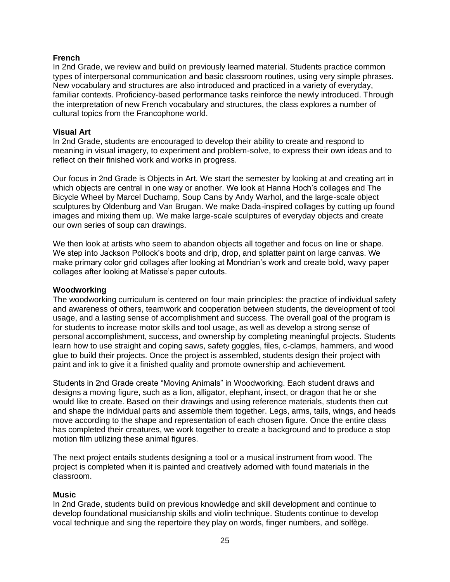#### **French**

In 2nd Grade, we review and build on previously learned material. Students practice common types of interpersonal communication and basic classroom routines, using very simple phrases. New vocabulary and structures are also introduced and practiced in a variety of everyday, familiar contexts. Proficiency-based performance tasks reinforce the newly introduced. Through the interpretation of new French vocabulary and structures, the class explores a number of cultural topics from the Francophone world.

#### **Visual Art**

In 2nd Grade, students are encouraged to develop their ability to create and respond to meaning in visual imagery, to experiment and problem-solve, to express their own ideas and to reflect on their finished work and works in progress.

Our focus in 2nd Grade is Objects in Art. We start the semester by looking at and creating art in which objects are central in one way or another. We look at Hanna Hoch's collages and The Bicycle Wheel by Marcel Duchamp, Soup Cans by Andy Warhol, and the large-scale object sculptures by Oldenburg and Van Brugan. We make Dada-inspired collages by cutting up found images and mixing them up. We make large-scale sculptures of everyday objects and create our own series of soup can drawings.

We then look at artists who seem to abandon objects all together and focus on line or shape. We step into Jackson Pollock's boots and drip, drop, and splatter paint on large canvas. We make primary color grid collages after looking at Mondrian's work and create bold, wavy paper collages after looking at Matisse's paper cutouts.

#### **Woodworking**

The woodworking curriculum is centered on four main principles: the practice of individual safety and awareness of others, teamwork and cooperation between students, the development of tool usage, and a lasting sense of accomplishment and success. The overall goal of the program is for students to increase motor skills and tool usage, as well as develop a strong sense of personal accomplishment, success, and ownership by completing meaningful projects. Students learn how to use straight and coping saws, safety goggles, files, c-clamps, hammers, and wood glue to build their projects. Once the project is assembled, students design their project with paint and ink to give it a finished quality and promote ownership and achievement.

Students in 2nd Grade create "Moving Animals" in Woodworking. Each student draws and designs a moving figure, such as a lion, alligator, elephant, insect, or dragon that he or she would like to create. Based on their drawings and using reference materials, students then cut and shape the individual parts and assemble them together. Legs, arms, tails, wings, and heads move according to the shape and representation of each chosen figure. Once the entire class has completed their creatures, we work together to create a background and to produce a stop motion film utilizing these animal figures.

The next project entails students designing a tool or a musical instrument from wood. The project is completed when it is painted and creatively adorned with found materials in the classroom.

#### **Music**

In 2nd Grade, students build on previous knowledge and skill development and continue to develop foundational musicianship skills and violin technique. Students continue to develop vocal technique and sing the repertoire they play on words, finger numbers, and solfège.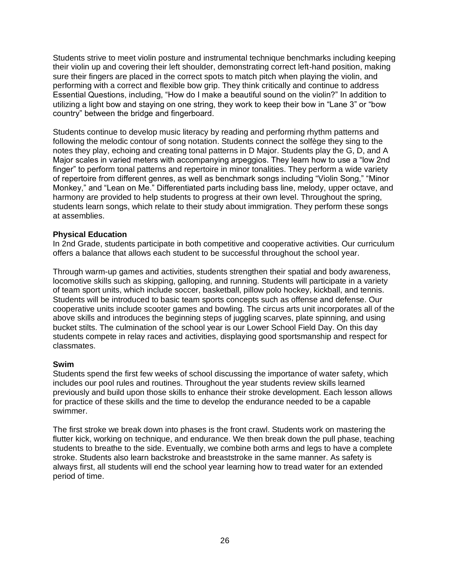Students strive to meet violin posture and instrumental technique benchmarks including keeping their violin up and covering their left shoulder, demonstrating correct left-hand position, making sure their fingers are placed in the correct spots to match pitch when playing the violin, and performing with a correct and flexible bow grip. They think critically and continue to address Essential Questions, including, "How do I make a beautiful sound on the violin?" In addition to utilizing a light bow and staying on one string, they work to keep their bow in "Lane 3" or "bow country" between the bridge and fingerboard.

Students continue to develop music literacy by reading and performing rhythm patterns and following the melodic contour of song notation. Students connect the solfège they sing to the notes they play, echoing and creating tonal patterns in D Major. Students play the G, D, and A Major scales in varied meters with accompanying arpeggios. They learn how to use a "low 2nd finger" to perform tonal patterns and repertoire in minor tonalities. They perform a wide variety of repertoire from different genres, as well as benchmark songs including "Violin Song," "Minor Monkey," and "Lean on Me." Differentiated parts including bass line, melody, upper octave, and harmony are provided to help students to progress at their own level. Throughout the spring, students learn songs, which relate to their study about immigration. They perform these songs at assemblies.

#### **Physical Education**

In 2nd Grade, students participate in both competitive and cooperative activities. Our curriculum offers a balance that allows each student to be successful throughout the school year.

Through warm-up games and activities, students strengthen their spatial and body awareness, locomotive skills such as skipping, galloping, and running. Students will participate in a variety of team sport units, which include soccer, basketball, pillow polo hockey, kickball, and tennis. Students will be introduced to basic team sports concepts such as offense and defense. Our cooperative units include scooter games and bowling. The circus arts unit incorporates all of the above skills and introduces the beginning steps of juggling scarves, plate spinning, and using bucket stilts. The culmination of the school year is our Lower School Field Day. On this day students compete in relay races and activities, displaying good sportsmanship and respect for classmates.

#### **Swim**

Students spend the first few weeks of school discussing the importance of water safety, which includes our pool rules and routines. Throughout the year students review skills learned previously and build upon those skills to enhance their stroke development. Each lesson allows for practice of these skills and the time to develop the endurance needed to be a capable swimmer.

The first stroke we break down into phases is the front crawl. Students work on mastering the flutter kick, working on technique, and endurance. We then break down the pull phase, teaching students to breathe to the side. Eventually, we combine both arms and legs to have a complete stroke. Students also learn backstroke and breaststroke in the same manner. As safety is always first, all students will end the school year learning how to tread water for an extended period of time.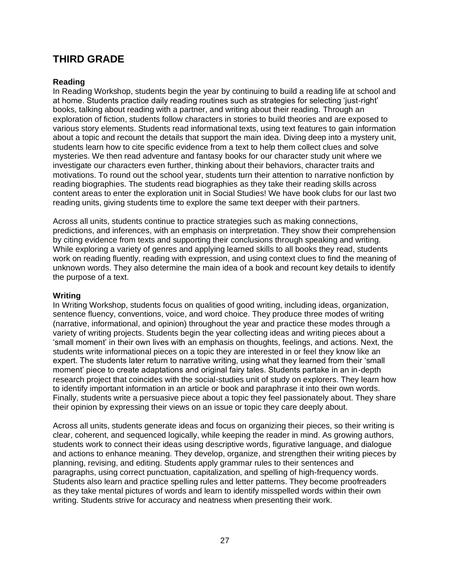### <span id="page-28-0"></span>**THIRD GRADE**

#### **Reading**

In Reading Workshop, students begin the year by continuing to build a reading life at school and at home. Students practice daily reading routines such as strategies for selecting 'just-right' books, talking about reading with a partner, and writing about their reading. Through an exploration of fiction, students follow characters in stories to build theories and are exposed to various story elements. Students read informational texts, using text features to gain information about a topic and recount the details that support the main idea. Diving deep into a mystery unit, students learn how to cite specific evidence from a text to help them collect clues and solve mysteries. We then read adventure and fantasy books for our character study unit where we investigate our characters even further, thinking about their behaviors, character traits and motivations. To round out the school year, students turn their attention to narrative nonfiction by reading biographies. The students read biographies as they take their reading skills across content areas to enter the exploration unit in Social Studies! We have book clubs for our last two reading units, giving students time to explore the same text deeper with their partners.

Across all units, students continue to practice strategies such as making connections, predictions, and inferences, with an emphasis on interpretation. They show their comprehension by citing evidence from texts and supporting their conclusions through speaking and writing. While exploring a variety of genres and applying learned skills to all books they read, students work on reading fluently, reading with expression, and using context clues to find the meaning of unknown words. They also determine the main idea of a book and recount key details to identify the purpose of a text.

#### **Writing**

In Writing Workshop, students focus on qualities of good writing, including ideas, organization, sentence fluency, conventions, voice, and word choice. They produce three modes of writing (narrative, informational, and opinion) throughout the year and practice these modes through a variety of writing projects. Students begin the year collecting ideas and writing pieces about a 'small moment' in their own lives with an emphasis on thoughts, feelings, and actions. Next, the students write informational pieces on a topic they are interested in or feel they know like an expert. The students later return to narrative writing, using what they learned from their 'small moment' piece to create adaptations and original fairy tales. Students partake in an in-depth research project that coincides with the social-studies unit of study on explorers. They learn how to identify important information in an article or book and paraphrase it into their own words. Finally, students write a persuasive piece about a topic they feel passionately about. They share their opinion by expressing their views on an issue or topic they care deeply about.

Across all units, students generate ideas and focus on organizing their pieces, so their writing is clear, coherent, and sequenced logically, while keeping the reader in mind. As growing authors, students work to connect their ideas using descriptive words, figurative language, and dialogue and actions to enhance meaning. They develop, organize, and strengthen their writing pieces by planning, revising, and editing. Students apply grammar rules to their sentences and paragraphs, using correct punctuation, capitalization, and spelling of high-frequency words. Students also learn and practice spelling rules and letter patterns. They become proofreaders as they take mental pictures of words and learn to identify misspelled words within their own writing. Students strive for accuracy and neatness when presenting their work.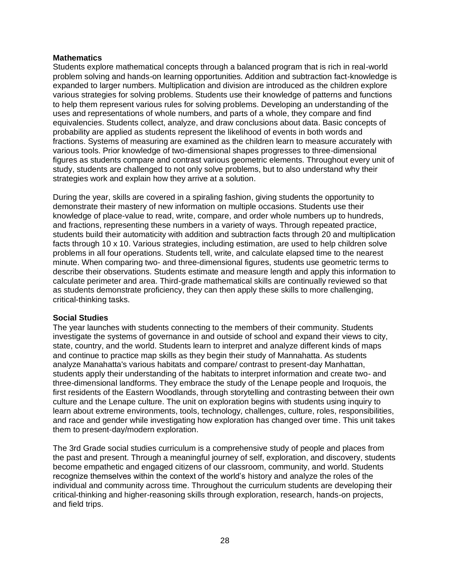#### **Mathematics**

Students explore mathematical concepts through a balanced program that is rich in real-world problem solving and hands-on learning opportunities. Addition and subtraction fact-knowledge is expanded to larger numbers. Multiplication and division are introduced as the children explore various strategies for solving problems. Students use their knowledge of patterns and functions to help them represent various rules for solving problems. Developing an understanding of the uses and representations of whole numbers, and parts of a whole, they compare and find equivalencies. Students collect, analyze, and draw conclusions about data. Basic concepts of probability are applied as students represent the likelihood of events in both words and fractions. Systems of measuring are examined as the children learn to measure accurately with various tools. Prior knowledge of two-dimensional shapes progresses to three-dimensional figures as students compare and contrast various geometric elements. Throughout every unit of study, students are challenged to not only solve problems, but to also understand why their strategies work and explain how they arrive at a solution.

During the year, skills are covered in a spiraling fashion, giving students the opportunity to demonstrate their mastery of new information on multiple occasions. Students use their knowledge of place-value to read, write, compare, and order whole numbers up to hundreds, and fractions, representing these numbers in a variety of ways. Through repeated practice, students build their automaticity with addition and subtraction facts through 20 and multiplication facts through 10 x 10. Various strategies, including estimation, are used to help children solve problems in all four operations. Students tell, write, and calculate elapsed time to the nearest minute. When comparing two- and three-dimensional figures, students use geometric terms to describe their observations. Students estimate and measure length and apply this information to calculate perimeter and area. Third-grade mathematical skills are continually reviewed so that as students demonstrate proficiency, they can then apply these skills to more challenging, critical-thinking tasks.

#### **Social Studies**

The year launches with students connecting to the members of their community. Students investigate the systems of governance in and outside of school and expand their views to city, state, country, and the world. Students learn to interpret and analyze different kinds of maps and continue to practice map skills as they begin their study of Mannahatta. As students analyze Manahatta's various habitats and compare/ contrast to present-day Manhattan, students apply their understanding of the habitats to interpret information and create two- and three-dimensional landforms. They embrace the study of the Lenape people and Iroquois, the first residents of the Eastern Woodlands, through storytelling and contrasting between their own culture and the Lenape culture. The unit on exploration begins with students using inquiry to learn about extreme environments, tools, technology, challenges, culture, roles, responsibilities, and race and gender while investigating how exploration has changed over time. This unit takes them to present-day/modern exploration.

The 3rd Grade social studies curriculum is a comprehensive study of people and places from the past and present. Through a meaningful journey of self, exploration, and discovery, students become empathetic and engaged citizens of our classroom, community, and world. Students recognize themselves within the context of the world's history and analyze the roles of the individual and community across time. Throughout the curriculum students are developing their critical-thinking and higher-reasoning skills through exploration, research, hands-on projects, and field trips.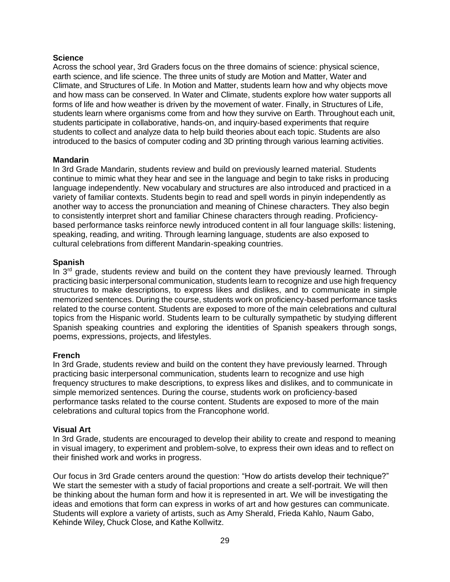#### **Science**

Across the school year, 3rd Graders focus on the three domains of science: physical science, earth science, and life science. The three units of study are Motion and Matter, Water and Climate, and Structures of Life. In Motion and Matter, students learn how and why objects move and how mass can be conserved. In Water and Climate, students explore how water supports all forms of life and how weather is driven by the movement of water. Finally, in Structures of Life, students learn where organisms come from and how they survive on Earth. Throughout each unit, students participate in collaborative, hands-on, and inquiry-based experiments that require students to collect and analyze data to help build theories about each topic. Students are also introduced to the basics of computer coding and 3D printing through various learning activities.

#### **Mandarin**

In 3rd Grade Mandarin, students review and build on previously learned material. Students continue to mimic what they hear and see in the language and begin to take risks in producing language independently. New vocabulary and structures are also introduced and practiced in a variety of familiar contexts. Students begin to read and spell words in pinyin independently as another way to access the pronunciation and meaning of Chinese characters. They also begin to consistently interpret short and familiar Chinese characters through reading. Proficiencybased performance tasks reinforce newly introduced content in all four language skills: listening, speaking, reading, and writing. Through learning language, students are also exposed to cultural celebrations from different Mandarin-speaking countries.

#### **Spanish**

In 3<sup>rd</sup> grade, students review and build on the content they have previously learned. Through practicing basic interpersonal communication, students learn to recognize and use high frequency structures to make descriptions, to express likes and dislikes, and to communicate in simple memorized sentences. During the course, students work on proficiency-based performance tasks related to the course content. Students are exposed to more of the main celebrations and cultural topics from the Hispanic world. Students learn to be culturally sympathetic by studying different Spanish speaking countries and exploring the identities of Spanish speakers through songs, poems, expressions, projects, and lifestyles.

#### **French**

In 3rd Grade, students review and build on the content they have previously learned. Through practicing basic interpersonal communication, students learn to recognize and use high frequency structures to make descriptions, to express likes and dislikes, and to communicate in simple memorized sentences. During the course, students work on proficiency-based performance tasks related to the course content. Students are exposed to more of the main celebrations and cultural topics from the Francophone world.

#### **Visual Art**

In 3rd Grade, students are encouraged to develop their ability to create and respond to meaning in visual imagery, to experiment and problem-solve, to express their own ideas and to reflect on their finished work and works in progress.

Our focus in 3rd Grade centers around the question: "How do artists develop their technique?" We start the semester with a study of facial proportions and create a self-portrait. We will then be thinking about the human form and how it is represented in art. We will be investigating the ideas and emotions that form can express in works of art and how gestures can communicate. Students will explore a variety of artists, such as Amy Sherald, Frieda Kahlo, Naum Gabo, Kehinde Wiley, Chuck Close, and Kathe Kollwitz.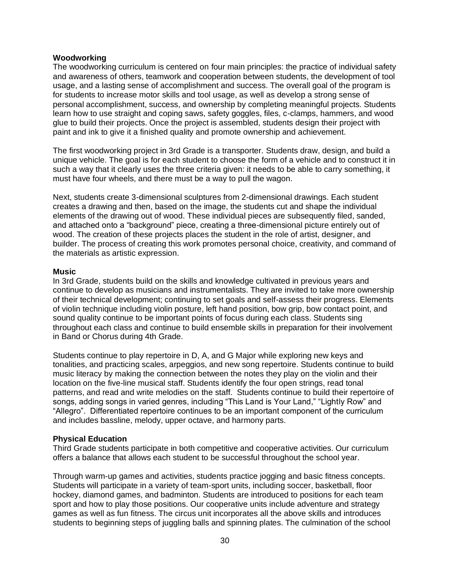#### **Woodworking**

The woodworking curriculum is centered on four main principles: the practice of individual safety and awareness of others, teamwork and cooperation between students, the development of tool usage, and a lasting sense of accomplishment and success. The overall goal of the program is for students to increase motor skills and tool usage, as well as develop a strong sense of personal accomplishment, success, and ownership by completing meaningful projects. Students learn how to use straight and coping saws, safety goggles, files, c-clamps, hammers, and wood glue to build their projects. Once the project is assembled, students design their project with paint and ink to give it a finished quality and promote ownership and achievement.

The first woodworking project in 3rd Grade is a transporter. Students draw, design, and build a unique vehicle. The goal is for each student to choose the form of a vehicle and to construct it in such a way that it clearly uses the three criteria given: it needs to be able to carry something, it must have four wheels, and there must be a way to pull the wagon.

Next, students create 3-dimensional sculptures from 2-dimensional drawings. Each student creates a drawing and then, based on the image, the students cut and shape the individual elements of the drawing out of wood. These individual pieces are subsequently filed, sanded, and attached onto a "background" piece, creating a three-dimensional picture entirely out of wood. The creation of these projects places the student in the role of artist, designer, and builder. The process of creating this work promotes personal choice, creativity, and command of the materials as artistic expression.

#### **Music**

In 3rd Grade, students build on the skills and knowledge cultivated in previous years and continue to develop as musicians and instrumentalists. They are invited to take more ownership of their technical development; continuing to set goals and self-assess their progress. Elements of violin technique including violin posture, left hand position, bow grip, bow contact point, and sound quality continue to be important points of focus during each class. Students sing throughout each class and continue to build ensemble skills in preparation for their involvement in Band or Chorus during 4th Grade.

Students continue to play repertoire in D, A, and G Major while exploring new keys and tonalities, and practicing scales, arpeggios, and new song repertoire. Students continue to build music literacy by making the connection between the notes they play on the violin and their location on the five-line musical staff. Students identify the four open strings, read tonal patterns, and read and write melodies on the staff. Students continue to build their repertoire of songs, adding songs in varied genres, including "This Land is Your Land," "Lightly Row" and "Allegro". Differentiated repertoire continues to be an important component of the curriculum and includes bassline, melody, upper octave, and harmony parts.

#### **Physical Education**

Third Grade students participate in both competitive and cooperative activities. Our curriculum offers a balance that allows each student to be successful throughout the school year.

Through warm-up games and activities, students practice jogging and basic fitness concepts. Students will participate in a variety of team-sport units, including soccer, basketball, floor hockey, diamond games, and badminton. Students are introduced to positions for each team sport and how to play those positions. Our cooperative units include adventure and strategy games as well as fun fitness. The circus unit incorporates all the above skills and introduces students to beginning steps of juggling balls and spinning plates. The culmination of the school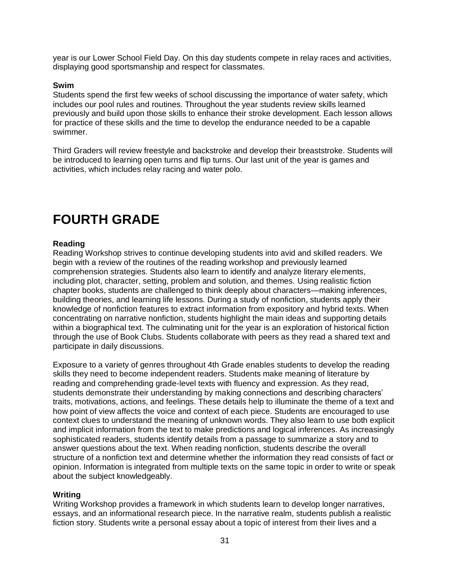year is our Lower School Field Day. On this day students compete in relay races and activities, displaying good sportsmanship and respect for classmates.

#### **Swim**

Students spend the first few weeks of school discussing the importance of water safety, which includes our pool rules and routines. Throughout the year students review skills learned previously and build upon those skills to enhance their stroke development. Each lesson allows for practice of these skills and the time to develop the endurance needed to be a capable swimmer.

Third Graders will review freestyle and backstroke and develop their breaststroke. Students will be introduced to learning open turns and flip turns. Our last unit of the year is games and activities, which includes relay racing and water polo.

### <span id="page-32-0"></span>**FOURTH GRADE**

#### **Reading**

Reading Workshop strives to continue developing students into avid and skilled readers. We begin with a review of the routines of the reading workshop and previously learned comprehension strategies. Students also learn to identify and analyze literary elements, including plot, character, setting, problem and solution, and themes. Using realistic fiction chapter books, students are challenged to think deeply about characters—making inferences, building theories, and learning life lessons. During a study of nonfiction, students apply their knowledge of nonfiction features to extract information from expository and hybrid texts. When concentrating on narrative nonfiction, students highlight the main ideas and supporting details within a biographical text. The culminating unit for the year is an exploration of historical fiction through the use of Book Clubs. Students collaborate with peers as they read a shared text and participate in daily discussions.

Exposure to a variety of genres throughout 4th Grade enables students to develop the reading skills they need to become independent readers. Students make meaning of literature by reading and comprehending grade-level texts with fluency and expression. As they read, students demonstrate their understanding by making connections and describing characters' traits, motivations, actions, and feelings. These details help to illuminate the theme of a text and how point of view affects the voice and context of each piece. Students are encouraged to use context clues to understand the meaning of unknown words. They also learn to use both explicit and implicit information from the text to make predictions and logical inferences. As increasingly sophisticated readers, students identify details from a passage to summarize a story and to answer questions about the text. When reading nonfiction, students describe the overall structure of a nonfiction text and determine whether the information they read consists of fact or opinion. Information is integrated from multiple texts on the same topic in order to write or speak about the subject knowledgeably.

#### **Writing**

Writing Workshop provides a framework in which students learn to develop longer narratives, essays, and an informational research piece. In the narrative realm, students publish a realistic fiction story. Students write a personal essay about a topic of interest from their lives and a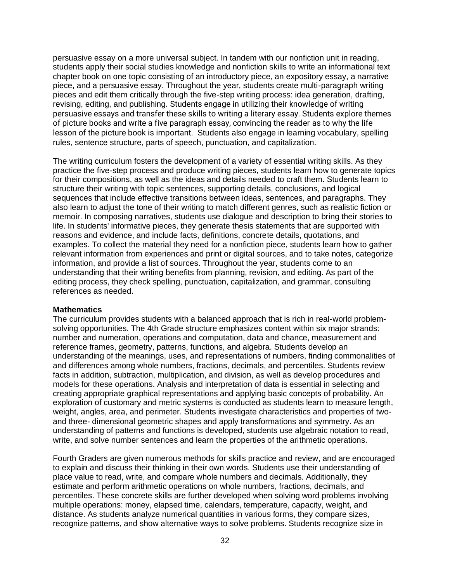persuasive essay on a more universal subject. In tandem with our nonfiction unit in reading, students apply their social studies knowledge and nonfiction skills to write an informational text chapter book on one topic consisting of an introductory piece, an expository essay, a narrative piece, and a persuasive essay. Throughout the year, students create multi-paragraph writing pieces and edit them critically through the five-step writing process: idea generation, drafting, revising, editing, and publishing. Students engage in utilizing their knowledge of writing persuasive essays and transfer these skills to writing a literary essay. Students explore themes of picture books and write a five paragraph essay, convincing the reader as to why the life lesson of the picture book is important. Students also engage in learning vocabulary, spelling rules, sentence structure, parts of speech, punctuation, and capitalization.

The writing curriculum fosters the development of a variety of essential writing skills. As they practice the five-step process and produce writing pieces, students learn how to generate topics for their compositions, as well as the ideas and details needed to craft them. Students learn to structure their writing with topic sentences, supporting details, conclusions, and logical sequences that include effective transitions between ideas, sentences, and paragraphs. They also learn to adjust the tone of their writing to match different genres, such as realistic fiction or memoir. In composing narratives, students use dialogue and description to bring their stories to life. In students' informative pieces, they generate thesis statements that are supported with reasons and evidence, and include facts, definitions, concrete details, quotations, and examples. To collect the material they need for a nonfiction piece, students learn how to gather relevant information from experiences and print or digital sources, and to take notes, categorize information, and provide a list of sources. Throughout the year, students come to an understanding that their writing benefits from planning, revision, and editing. As part of the editing process, they check spelling, punctuation, capitalization, and grammar, consulting references as needed.

#### **Mathematics**

The curriculum provides students with a balanced approach that is rich in real-world problemsolving opportunities. The 4th Grade structure emphasizes content within six major strands: number and numeration, operations and computation, data and chance, measurement and reference frames, geometry, patterns, functions, and algebra. Students develop an understanding of the meanings, uses, and representations of numbers, finding commonalities of and differences among whole numbers, fractions, decimals, and percentiles. Students review facts in addition, subtraction, multiplication, and division, as well as develop procedures and models for these operations. Analysis and interpretation of data is essential in selecting and creating appropriate graphical representations and applying basic concepts of probability. An exploration of customary and metric systems is conducted as students learn to measure length, weight, angles, area, and perimeter. Students investigate characteristics and properties of twoand three- dimensional geometric shapes and apply transformations and symmetry. As an understanding of patterns and functions is developed, students use algebraic notation to read, write, and solve number sentences and learn the properties of the arithmetic operations.

Fourth Graders are given numerous methods for skills practice and review, and are encouraged to explain and discuss their thinking in their own words. Students use their understanding of place value to read, write, and compare whole numbers and decimals. Additionally, they estimate and perform arithmetic operations on whole numbers, fractions, decimals, and percentiles. These concrete skills are further developed when solving word problems involving multiple operations: money, elapsed time, calendars, temperature, capacity, weight, and distance. As students analyze numerical quantities in various forms, they compare sizes, recognize patterns, and show alternative ways to solve problems. Students recognize size in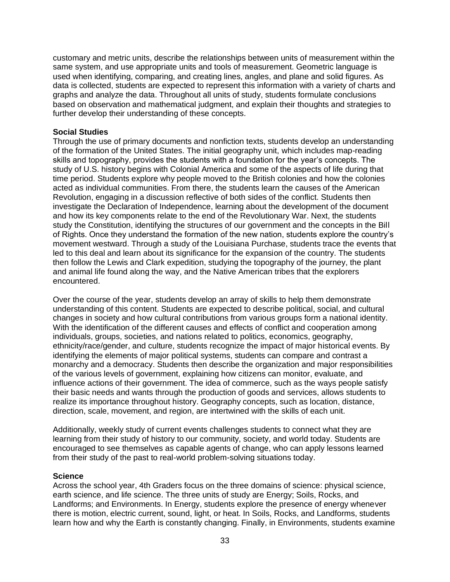customary and metric units, describe the relationships between units of measurement within the same system, and use appropriate units and tools of measurement. Geometric language is used when identifying, comparing, and creating lines, angles, and plane and solid figures. As data is collected, students are expected to represent this information with a variety of charts and graphs and analyze the data. Throughout all units of study, students formulate conclusions based on observation and mathematical judgment, and explain their thoughts and strategies to further develop their understanding of these concepts.

#### **Social Studies**

Through the use of primary documents and nonfiction texts, students develop an understanding of the formation of the United States. The initial geography unit, which includes map-reading skills and topography, provides the students with a foundation for the year's concepts. The study of U.S. history begins with Colonial America and some of the aspects of life during that time period. Students explore why people moved to the British colonies and how the colonies acted as individual communities. From there, the students learn the causes of the American Revolution, engaging in a discussion reflective of both sides of the conflict. Students then investigate the Declaration of Independence, learning about the development of the document and how its key components relate to the end of the Revolutionary War. Next, the students study the Constitution, identifying the structures of our government and the concepts in the Bill of Rights. Once they understand the formation of the new nation, students explore the country's movement westward. Through a study of the Louisiana Purchase, students trace the events that led to this deal and learn about its significance for the expansion of the country. The students then follow the Lewis and Clark expedition, studying the topography of the journey, the plant and animal life found along the way, and the Native American tribes that the explorers encountered.

Over the course of the year, students develop an array of skills to help them demonstrate understanding of this content. Students are expected to describe political, social, and cultural changes in society and how cultural contributions from various groups form a national identity. With the identification of the different causes and effects of conflict and cooperation among individuals, groups, societies, and nations related to politics, economics, geography, ethnicity/race/gender, and culture, students recognize the impact of major historical events. By identifying the elements of major political systems, students can compare and contrast a monarchy and a democracy. Students then describe the organization and major responsibilities of the various levels of government, explaining how citizens can monitor, evaluate, and influence actions of their government. The idea of commerce, such as the ways people satisfy their basic needs and wants through the production of goods and services, allows students to realize its importance throughout history. Geography concepts, such as location, distance, direction, scale, movement, and region, are intertwined with the skills of each unit.

Additionally, weekly study of current events challenges students to connect what they are learning from their study of history to our community, society, and world today. Students are encouraged to see themselves as capable agents of change, who can apply lessons learned from their study of the past to real-world problem-solving situations today.

#### **Science**

Across the school year, 4th Graders focus on the three domains of science: physical science, earth science, and life science. The three units of study are Energy; Soils, Rocks, and Landforms; and Environments. In Energy, students explore the presence of energy whenever there is motion, electric current, sound, light, or heat. In Soils, Rocks, and Landforms, students learn how and why the Earth is constantly changing. Finally, in Environments, students examine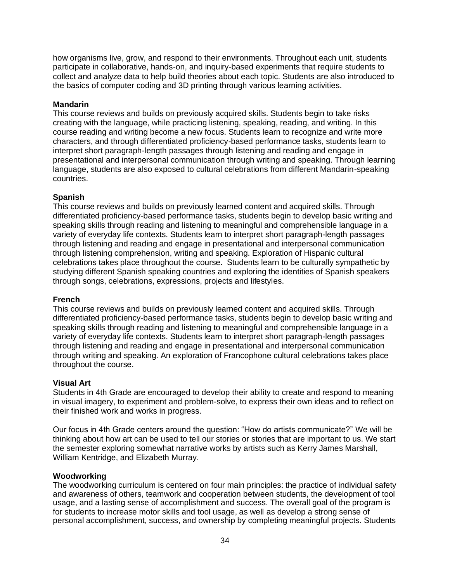how organisms live, grow, and respond to their environments. Throughout each unit, students participate in collaborative, hands-on, and inquiry-based experiments that require students to collect and analyze data to help build theories about each topic. Students are also introduced to the basics of computer coding and 3D printing through various learning activities.

#### **Mandarin**

This course reviews and builds on previously acquired skills. Students begin to take risks creating with the language, while practicing listening, speaking, reading, and writing. In this course reading and writing become a new focus. Students learn to recognize and write more characters, and through differentiated proficiency-based performance tasks, students learn to interpret short paragraph-length passages through listening and reading and engage in presentational and interpersonal communication through writing and speaking. Through learning language, students are also exposed to cultural celebrations from different Mandarin-speaking countries.

#### **Spanish**

This course reviews and builds on previously learned content and acquired skills. Through differentiated proficiency-based performance tasks, students begin to develop basic writing and speaking skills through reading and listening to meaningful and comprehensible language in a variety of everyday life contexts. Students learn to interpret short paragraph-length passages through listening and reading and engage in presentational and interpersonal communication through listening comprehension, writing and speaking. Exploration of Hispanic cultural celebrations takes place throughout the course. Students learn to be culturally sympathetic by studying different Spanish speaking countries and exploring the identities of Spanish speakers through songs, celebrations, expressions, projects and lifestyles.

#### **French**

This course reviews and builds on previously learned content and acquired skills. Through differentiated proficiency-based performance tasks, students begin to develop basic writing and speaking skills through reading and listening to meaningful and comprehensible language in a variety of everyday life contexts. Students learn to interpret short paragraph-length passages through listening and reading and engage in presentational and interpersonal communication through writing and speaking. An exploration of Francophone cultural celebrations takes place throughout the course.

#### **Visual Art**

Students in 4th Grade are encouraged to develop their ability to create and respond to meaning in visual imagery, to experiment and problem-solve, to express their own ideas and to reflect on their finished work and works in progress.

Our focus in 4th Grade centers around the question: "How do artists communicate?" We will be thinking about how art can be used to tell our stories or stories that are important to us. We start the semester exploring somewhat narrative works by artists such as Kerry James Marshall, William Kentridge, and Elizabeth Murray.

#### **Woodworking**

The woodworking curriculum is centered on four main principles: the practice of individual safety and awareness of others, teamwork and cooperation between students, the development of tool usage, and a lasting sense of accomplishment and success. The overall goal of the program is for students to increase motor skills and tool usage, as well as develop a strong sense of personal accomplishment, success, and ownership by completing meaningful projects. Students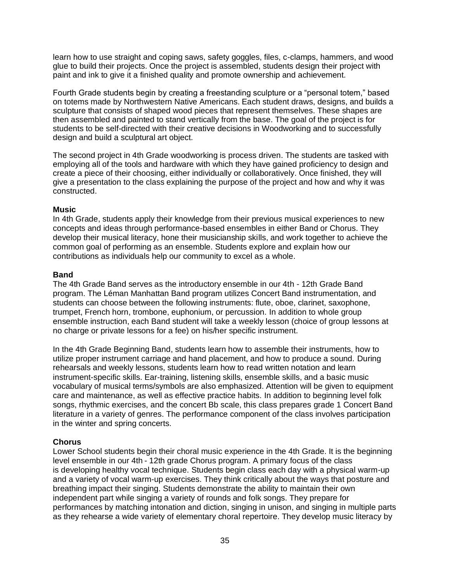learn how to use straight and coping saws, safety goggles, files, c-clamps, hammers, and wood glue to build their projects. Once the project is assembled, students design their project with paint and ink to give it a finished quality and promote ownership and achievement.

Fourth Grade students begin by creating a freestanding sculpture or a "personal totem," based on totems made by Northwestern Native Americans. Each student draws, designs, and builds a sculpture that consists of shaped wood pieces that represent themselves. These shapes are then assembled and painted to stand vertically from the base. The goal of the project is for students to be self-directed with their creative decisions in Woodworking and to successfully design and build a sculptural art object.

The second project in 4th Grade woodworking is process driven. The students are tasked with employing all of the tools and hardware with which they have gained proficiency to design and create a piece of their choosing, either individually or collaboratively. Once finished, they will give a presentation to the class explaining the purpose of the project and how and why it was constructed.

#### **Music**

In 4th Grade, students apply their knowledge from their previous musical experiences to new concepts and ideas through performance-based ensembles in either Band or Chorus. They develop their musical literacy, hone their musicianship skills, and work together to achieve the common goal of performing as an ensemble. Students explore and explain how our contributions as individuals help our community to excel as a whole.

#### **Band**

The 4th Grade Band serves as the introductory ensemble in our 4th - 12th Grade Band program. The Léman Manhattan Band program utilizes Concert Band instrumentation, and students can choose between the following instruments: flute, oboe, clarinet, saxophone, trumpet, French horn, trombone, euphonium, or percussion. In addition to whole group ensemble instruction, each Band student will take a weekly lesson (choice of group lessons at no charge or private lessons for a fee) on his/her specific instrument.

In the 4th Grade Beginning Band, students learn how to assemble their instruments, how to utilize proper instrument carriage and hand placement, and how to produce a sound. During rehearsals and weekly lessons, students learn how to read written notation and learn instrument-specific skills. Ear-training, listening skills, ensemble skills, and a basic music vocabulary of musical terms/symbols are also emphasized. Attention will be given to equipment care and maintenance, as well as effective practice habits. In addition to beginning level folk songs, rhythmic exercises, and the concert Bb scale, this class prepares grade 1 Concert Band literature in a variety of genres. The performance component of the class involves participation in the winter and spring concerts.

#### **Chorus**

Lower School students begin their choral music experience in the 4th Grade. It is the beginning level ensemble in our 4th - 12th grade Chorus program. A primary focus of the class is developing healthy vocal technique. Students begin class each day with a physical warm-up and a variety of vocal warm-up exercises. They think critically about the ways that posture and breathing impact their singing. Students demonstrate the ability to maintain their own independent part while singing a variety of rounds and folk songs. They prepare for performances by matching intonation and diction, singing in unison, and singing in multiple parts as they rehearse a wide variety of elementary choral repertoire. They develop music literacy by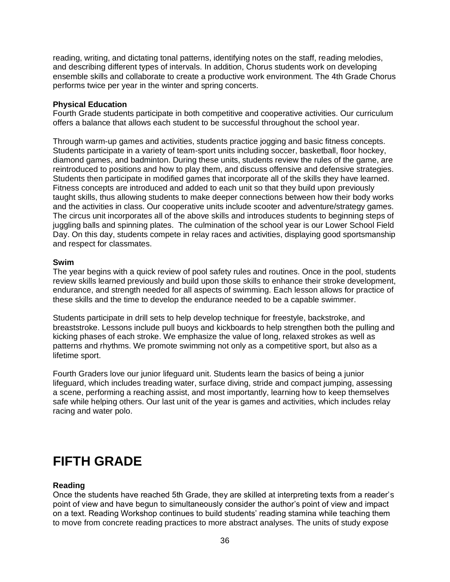reading, writing, and dictating tonal patterns, identifying notes on the staff, reading melodies, and describing different types of intervals. In addition, Chorus students work on developing ensemble skills and collaborate to create a productive work environment. The 4th Grade Chorus performs twice per year in the winter and spring concerts.

#### **Physical Education**

Fourth Grade students participate in both competitive and cooperative activities. Our curriculum offers a balance that allows each student to be successful throughout the school year.

Through warm-up games and activities, students practice jogging and basic fitness concepts. Students participate in a variety of team-sport units including soccer, basketball, floor hockey, diamond games, and badminton. During these units, students review the rules of the game, are reintroduced to positions and how to play them, and discuss offensive and defensive strategies. Students then participate in modified games that incorporate all of the skills they have learned. Fitness concepts are introduced and added to each unit so that they build upon previously taught skills, thus allowing students to make deeper connections between how their body works and the activities in class. Our cooperative units include scooter and adventure/strategy games. The circus unit incorporates all of the above skills and introduces students to beginning steps of juggling balls and spinning plates. The culmination of the school year is our Lower School Field Day. On this day, students compete in relay races and activities, displaying good sportsmanship and respect for classmates.

#### **Swim**

The year begins with a quick review of pool safety rules and routines. Once in the pool, students review skills learned previously and build upon those skills to enhance their stroke development, endurance, and strength needed for all aspects of swimming. Each lesson allows for practice of these skills and the time to develop the endurance needed to be a capable swimmer.

Students participate in drill sets to help develop technique for freestyle, backstroke, and breaststroke. Lessons include pull buoys and kickboards to help strengthen both the pulling and kicking phases of each stroke. We emphasize the value of long, relaxed strokes as well as patterns and rhythms. We promote swimming not only as a competitive sport, but also as a lifetime sport.

Fourth Graders love our junior lifeguard unit. Students learn the basics of being a junior lifeguard, which includes treading water, surface diving, stride and compact jumping, assessing a scene, performing a reaching assist, and most importantly, learning how to keep themselves safe while helping others. Our last unit of the year is games and activities, which includes relay racing and water polo.

### <span id="page-37-0"></span>**FIFTH GRADE**

#### **Reading**

Once the students have reached 5th Grade, they are skilled at interpreting texts from a reader's point of view and have begun to simultaneously consider the author's point of view and impact on a text. Reading Workshop continues to build students' reading stamina while teaching them to move from concrete reading practices to more abstract analyses. The units of study expose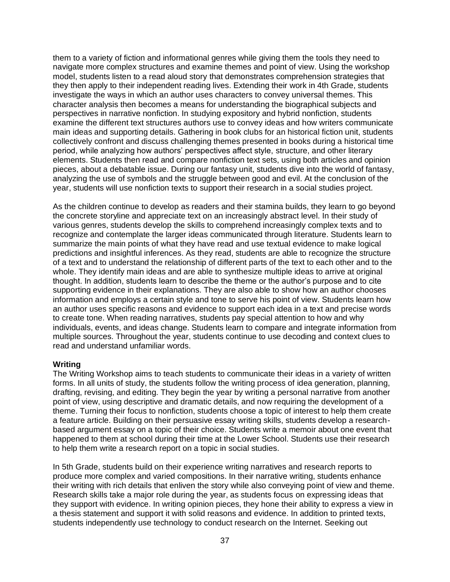them to a variety of fiction and informational genres while giving them the tools they need to navigate more complex structures and examine themes and point of view. Using the workshop model, students listen to a read aloud story that demonstrates comprehension strategies that they then apply to their independent reading lives. Extending their work in 4th Grade, students investigate the ways in which an author uses characters to convey universal themes. This character analysis then becomes a means for understanding the biographical subjects and perspectives in narrative nonfiction. In studying expository and hybrid nonfiction, students examine the different text structures authors use to convey ideas and how writers communicate main ideas and supporting details. Gathering in book clubs for an historical fiction unit, students collectively confront and discuss challenging themes presented in books during a historical time period, while analyzing how authors' perspectives affect style, structure, and other literary elements. Students then read and compare nonfiction text sets, using both articles and opinion pieces, about a debatable issue. During our fantasy unit, students dive into the world of fantasy, analyzing the use of symbols and the struggle between good and evil. At the conclusion of the year, students will use nonfiction texts to support their research in a social studies project.

As the children continue to develop as readers and their stamina builds, they learn to go beyond the concrete storyline and appreciate text on an increasingly abstract level. In their study of various genres, students develop the skills to comprehend increasingly complex texts and to recognize and contemplate the larger ideas communicated through literature. Students learn to summarize the main points of what they have read and use textual evidence to make logical predictions and insightful inferences. As they read, students are able to recognize the structure of a text and to understand the relationship of different parts of the text to each other and to the whole. They identify main ideas and are able to synthesize multiple ideas to arrive at original thought. In addition, students learn to describe the theme or the author's purpose and to cite supporting evidence in their explanations. They are also able to show how an author chooses information and employs a certain style and tone to serve his point of view. Students learn how an author uses specific reasons and evidence to support each idea in a text and precise words to create tone. When reading narratives, students pay special attention to how and why individuals, events, and ideas change. Students learn to compare and integrate information from multiple sources. Throughout the year, students continue to use decoding and context clues to read and understand unfamiliar words.

#### **Writing**

The Writing Workshop aims to teach students to communicate their ideas in a variety of written forms. In all units of study, the students follow the writing process of idea generation, planning, drafting, revising, and editing. They begin the year by writing a personal narrative from another point of view, using descriptive and dramatic details, and now requiring the development of a theme. Turning their focus to nonfiction, students choose a topic of interest to help them create a feature article. Building on their persuasive essay writing skills, students develop a researchbased argument essay on a topic of their choice. Students write a memoir about one event that happened to them at school during their time at the Lower School. Students use their research to help them write a research report on a topic in social studies.

In 5th Grade, students build on their experience writing narratives and research reports to produce more complex and varied compositions. In their narrative writing, students enhance their writing with rich details that enliven the story while also conveying point of view and theme. Research skills take a major role during the year, as students focus on expressing ideas that they support with evidence. In writing opinion pieces, they hone their ability to express a view in a thesis statement and support it with solid reasons and evidence. In addition to printed texts, students independently use technology to conduct research on the Internet. Seeking out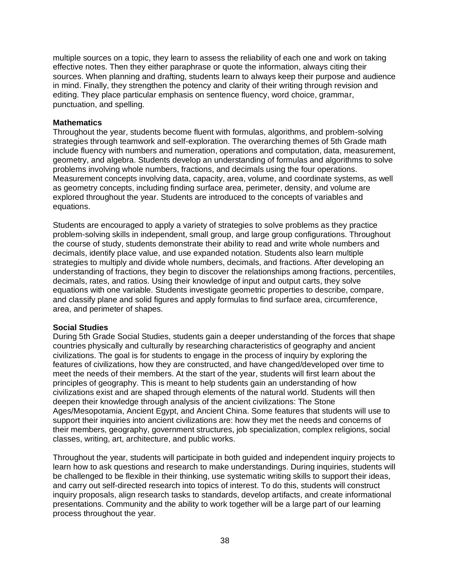multiple sources on a topic, they learn to assess the reliability of each one and work on taking effective notes. Then they either paraphrase or quote the information, always citing their sources. When planning and drafting, students learn to always keep their purpose and audience in mind. Finally, they strengthen the potency and clarity of their writing through revision and editing. They place particular emphasis on sentence fluency, word choice, grammar, punctuation, and spelling.

#### **Mathematics**

Throughout the year, students become fluent with formulas, algorithms, and problem-solving strategies through teamwork and self-exploration. The overarching themes of 5th Grade math include fluency with numbers and numeration, operations and computation, data, measurement, geometry, and algebra. Students develop an understanding of formulas and algorithms to solve problems involving whole numbers, fractions, and decimals using the four operations. Measurement concepts involving data, capacity, area, volume, and coordinate systems, as well as geometry concepts, including finding surface area, perimeter, density, and volume are explored throughout the year. Students are introduced to the concepts of variables and equations.

Students are encouraged to apply a variety of strategies to solve problems as they practice problem-solving skills in independent, small group, and large group configurations. Throughout the course of study, students demonstrate their ability to read and write whole numbers and decimals, identify place value, and use expanded notation. Students also learn multiple strategies to multiply and divide whole numbers, decimals, and fractions. After developing an understanding of fractions, they begin to discover the relationships among fractions, percentiles, decimals, rates, and ratios. Using their knowledge of input and output carts, they solve equations with one variable. Students investigate geometric properties to describe, compare, and classify plane and solid figures and apply formulas to find surface area, circumference, area, and perimeter of shapes.

#### **Social Studies**

During 5th Grade Social Studies, students gain a deeper understanding of the forces that shape countries physically and culturally by researching characteristics of geography and ancient civilizations. The goal is for students to engage in the process of inquiry by exploring the features of civilizations, how they are constructed, and have changed/developed over time to meet the needs of their members. At the start of the year, students will first learn about the principles of geography. This is meant to help students gain an understanding of how civilizations exist and are shaped through elements of the natural world. Students will then deepen their knowledge through analysis of the ancient civilizations: The Stone Ages/Mesopotamia, Ancient Egypt, and Ancient China. Some features that students will use to support their inquiries into ancient civilizations are: how they met the needs and concerns of their members, geography, government structures, job specialization, complex religions, social classes, writing, art, architecture, and public works.

Throughout the year, students will participate in both guided and independent inquiry projects to learn how to ask questions and research to make understandings. During inquiries, students will be challenged to be flexible in their thinking, use systematic writing skills to support their ideas, and carry out self-directed research into topics of interest. To do this, students will construct inquiry proposals, align research tasks to standards, develop artifacts, and create informational presentations. Community and the ability to work together will be a large part of our learning process throughout the year.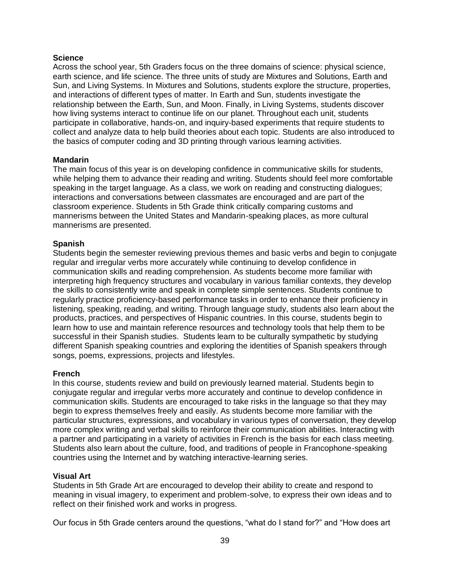#### **Science**

Across the school year, 5th Graders focus on the three domains of science: physical science, earth science, and life science. The three units of study are Mixtures and Solutions, Earth and Sun, and Living Systems. In Mixtures and Solutions, students explore the structure, properties, and interactions of different types of matter. In Earth and Sun, students investigate the relationship between the Earth, Sun, and Moon. Finally, in Living Systems, students discover how living systems interact to continue life on our planet. Throughout each unit, students participate in collaborative, hands-on, and inquiry-based experiments that require students to collect and analyze data to help build theories about each topic. Students are also introduced to the basics of computer coding and 3D printing through various learning activities.

#### **Mandarin**

The main focus of this year is on developing confidence in communicative skills for students, while helping them to advance their reading and writing. Students should feel more comfortable speaking in the target language. As a class, we work on reading and constructing dialogues; interactions and conversations between classmates are encouraged and are part of the classroom experience. Students in 5th Grade think critically comparing customs and mannerisms between the United States and Mandarin-speaking places, as more cultural mannerisms are presented.

#### **Spanish**

Students begin the semester reviewing previous themes and basic verbs and begin to conjugate regular and irregular verbs more accurately while continuing to develop confidence in communication skills and reading comprehension. As students become more familiar with interpreting high frequency structures and vocabulary in various familiar contexts, they develop the skills to consistently write and speak in complete simple sentences. Students continue to regularly practice proficiency-based performance tasks in order to enhance their proficiency in listening, speaking, reading, and writing. Through language study, students also learn about the products, practices, and perspectives of Hispanic countries. In this course, students begin to learn how to use and maintain reference resources and technology tools that help them to be successful in their Spanish studies. Students learn to be culturally sympathetic by studying different Spanish speaking countries and exploring the identities of Spanish speakers through songs, poems, expressions, projects and lifestyles.

#### **French**

In this course, students review and build on previously learned material. Students begin to conjugate regular and irregular verbs more accurately and continue to develop confidence in communication skills. Students are encouraged to take risks in the language so that they may begin to express themselves freely and easily. As students become more familiar with the particular structures, expressions, and vocabulary in various types of conversation, they develop more complex writing and verbal skills to reinforce their communication abilities. Interacting with a partner and participating in a variety of activities in French is the basis for each class meeting. Students also learn about the culture, food, and traditions of people in Francophone-speaking countries using the Internet and by watching interactive-learning series.

#### **Visual Art**

Students in 5th Grade Art are encouraged to develop their ability to create and respond to meaning in visual imagery, to experiment and problem-solve, to express their own ideas and to reflect on their finished work and works in progress.

Our focus in 5th Grade centers around the questions, "what do I stand for?" and "How does art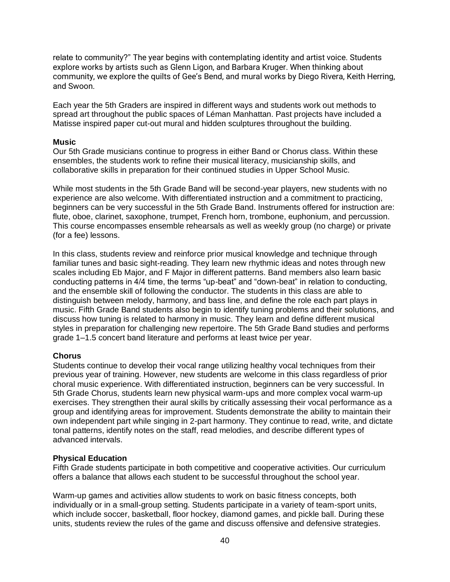relate to community?" The year begins with contemplating identity and artist voice. Students explore works by artists such as Glenn Ligon, and Barbara Kruger. When thinking about community, we explore the quilts of Gee's Bend, and mural works by Diego Rivera, Keith Herring, and Swoon.

Each year the 5th Graders are inspired in different ways and students work out methods to spread art throughout the public spaces of Léman Manhattan. Past projects have included a Matisse inspired paper cut-out mural and hidden sculptures throughout the building.

#### **Music**

Our 5th Grade musicians continue to progress in either Band or Chorus class. Within these ensembles, the students work to refine their musical literacy, musicianship skills, and collaborative skills in preparation for their continued studies in Upper School Music.

While most students in the 5th Grade Band will be second-year players, new students with no experience are also welcome. With differentiated instruction and a commitment to practicing, beginners can be very successful in the 5th Grade Band. Instruments offered for instruction are: flute, oboe, clarinet, saxophone, trumpet, French horn, trombone, euphonium, and percussion. This course encompasses ensemble rehearsals as well as weekly group (no charge) or private (for a fee) lessons.

In this class, students review and reinforce prior musical knowledge and technique through familiar tunes and basic sight-reading. They learn new rhythmic ideas and notes through new scales including Eb Major, and F Major in different patterns. Band members also learn basic conducting patterns in 4/4 time, the terms "up-beat" and "down-beat" in relation to conducting, and the ensemble skill of following the conductor. The students in this class are able to distinguish between melody, harmony, and bass line, and define the role each part plays in music. Fifth Grade Band students also begin to identify tuning problems and their solutions, and discuss how tuning is related to harmony in music. They learn and define different musical styles in preparation for challenging new repertoire. The 5th Grade Band studies and performs grade 1–1.5 concert band literature and performs at least twice per year.

#### **Chorus**

Students continue to develop their vocal range utilizing healthy vocal techniques from their previous year of training. However, new students are welcome in this class regardless of prior choral music experience. With differentiated instruction, beginners can be very successful. In 5th Grade Chorus, students learn new physical warm-ups and more complex vocal warm-up exercises. They strengthen their aural skills by critically assessing their vocal performance as a group and identifying areas for improvement. Students demonstrate the ability to maintain their own independent part while singing in 2-part harmony. They continue to read, write, and dictate tonal patterns, identify notes on the staff, read melodies, and describe different types of advanced intervals.

#### **Physical Education**

Fifth Grade students participate in both competitive and cooperative activities. Our curriculum offers a balance that allows each student to be successful throughout the school year.

Warm-up games and activities allow students to work on basic fitness concepts, both individually or in a small-group setting. Students participate in a variety of team-sport units, which include soccer, basketball, floor hockey, diamond games, and pickle ball. During these units, students review the rules of the game and discuss offensive and defensive strategies.